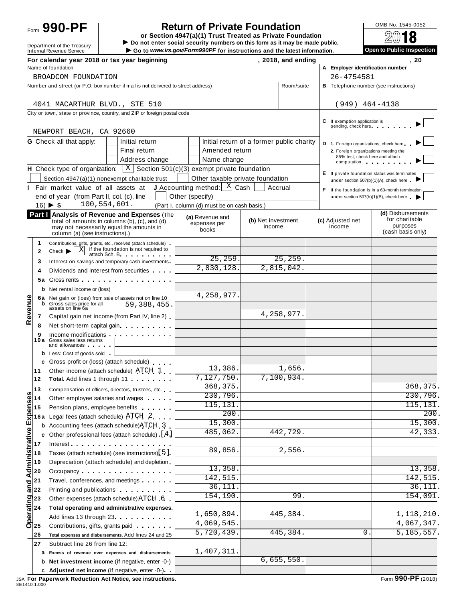# Form **990-PF**  $\begin{bmatrix} 1 & 0 \end{bmatrix}$  **Return of Private Foundation**  $\begin{bmatrix} 0 \end{bmatrix}$   $\begin{bmatrix} 0 \end{bmatrix}$   $\begin{bmatrix} 0 \end{bmatrix}$

 $\begin{array}{r|l}\n\hline\n\text{Definition} & \text{DOS} \\
\hline\n\text{Definition} & \text{DOS} \\
\hline\n\end{array}$ Form JUU - T<br>Department of the Treasury<br>Internal Revenue Service<br>Internal Revenue Service<br>Internal Revenue Service<br>Co to www.irs.gov/Form990PF for instructions and the latest information.

|  | Open to Public Inspection |
|--|---------------------------|
|  |                           |

|                                                                           |                | For calendar year 2018 or tax year beginning                                                                                                                                                                                   |                                             |                              | , 2018, and ending |                                                      | 20                                                                                      |
|---------------------------------------------------------------------------|----------------|--------------------------------------------------------------------------------------------------------------------------------------------------------------------------------------------------------------------------------|---------------------------------------------|------------------------------|--------------------|------------------------------------------------------|-----------------------------------------------------------------------------------------|
|                                                                           |                | Name of foundation                                                                                                                                                                                                             |                                             |                              |                    | A Employer identification number                     |                                                                                         |
|                                                                           |                | BROADCOM FOUNDATION                                                                                                                                                                                                            |                                             |                              |                    | 26-4754581                                           |                                                                                         |
|                                                                           |                | Number and street (or P.O. box number if mail is not delivered to street address)                                                                                                                                              |                                             |                              | Room/suite         |                                                      | <b>B</b> Telephone number (see instructions)                                            |
|                                                                           |                |                                                                                                                                                                                                                                |                                             |                              |                    |                                                      |                                                                                         |
|                                                                           |                | 4041 MACARTHUR BLVD., STE 510                                                                                                                                                                                                  |                                             |                              |                    | $(949)$ 464-4138                                     |                                                                                         |
|                                                                           |                | City or town, state or province, country, and ZIP or foreign postal code                                                                                                                                                       |                                             |                              |                    |                                                      |                                                                                         |
|                                                                           |                |                                                                                                                                                                                                                                |                                             |                              |                    | C If exemption application is<br>pending, check here |                                                                                         |
|                                                                           |                | NEWPORT BEACH, CA 92660                                                                                                                                                                                                        |                                             |                              |                    |                                                      |                                                                                         |
|                                                                           |                | <b>G</b> Check all that apply:<br>Initial return                                                                                                                                                                               | Initial return of a former public charity   |                              |                    | D 1. Foreign organizations, check here               |                                                                                         |
|                                                                           |                | Final return                                                                                                                                                                                                                   | Amended return                              |                              |                    | 2. Foreign organizations meeting the                 |                                                                                         |
|                                                                           |                | Address change                                                                                                                                                                                                                 | Name change                                 |                              |                    | 85% test, check here and attach                      | computation computation and the computation                                             |
|                                                                           |                | <b>H</b> Check type of organization: $X \mid X$ Section 501(c)(3) exempt private foundation                                                                                                                                    |                                             |                              |                    |                                                      |                                                                                         |
|                                                                           |                | Section 4947(a)(1) nonexempt charitable trust                                                                                                                                                                                  | Other taxable private foundation            |                              |                    |                                                      | E If private foundation status was terminated<br>under section 507(b)(1)(A), check here |
|                                                                           |                | Fair market value of all assets at                                                                                                                                                                                             | J Accounting method: $X$ Cash               |                              | Accrual            |                                                      | If the foundation is in a 60-month termination                                          |
|                                                                           |                | end of year (from Part II, col. (c), line                                                                                                                                                                                      | Other (specify)                             |                              |                    |                                                      | under section $507(b)(1)(B)$ , check here $\rightarrow$                                 |
|                                                                           |                | 100,554,601.<br>$16) \triangleright $ \$                                                                                                                                                                                       | (Part I, column (d) must be on cash basis.) |                              |                    |                                                      |                                                                                         |
|                                                                           |                | Part   Analysis of Revenue and Expenses (The                                                                                                                                                                                   |                                             |                              |                    |                                                      | (d) Disbursements                                                                       |
|                                                                           |                | total of amounts in columns (b), (c), and (d)                                                                                                                                                                                  | (a) Revenue and<br>expenses per             | (b) Net investment<br>income |                    | (c) Adjusted net<br>income                           | for charitable<br>purposes                                                              |
|                                                                           |                | may not necessarily equal the amounts in<br>column (a) (see instructions).)                                                                                                                                                    | books                                       |                              |                    |                                                      | (cash basis only)                                                                       |
|                                                                           | 1              | Contributions, gifts, grants, etc., received (attach schedule)                                                                                                                                                                 |                                             |                              |                    |                                                      |                                                                                         |
|                                                                           | $\mathbf{2}$   | $\boxed{\text{X}}$ if the foundation is not required to<br>Check $\blacktriangleright$                                                                                                                                         |                                             |                              |                    |                                                      |                                                                                         |
|                                                                           | 3              | attach Sch. B. Particular and The Parties<br>Interest on savings and temporary cash investments                                                                                                                                | 25, 259.                                    |                              | 25, 259.           |                                                      |                                                                                         |
|                                                                           | 4              | Dividends and interest from securities                                                                                                                                                                                         | 2,830,128.                                  |                              | 2,815,042.         |                                                      |                                                                                         |
|                                                                           |                | 5a Gross rents                                                                                                                                                                                                                 |                                             |                              |                    |                                                      |                                                                                         |
|                                                                           |                |                                                                                                                                                                                                                                |                                             |                              |                    |                                                      |                                                                                         |
|                                                                           |                |                                                                                                                                                                                                                                | 4,258,977                                   |                              |                    |                                                      |                                                                                         |
|                                                                           | b              | 6a Net gain or (loss) from sale of assets not on line 10<br>Gross sales price for all<br>59,388,455                                                                                                                            |                                             |                              |                    |                                                      |                                                                                         |
| Revenue                                                                   | $\overline{7}$ | assets on line 6a _<br>Capital gain net income (from Part IV, line 2)                                                                                                                                                          |                                             |                              | 4,258,977.         |                                                      |                                                                                         |
|                                                                           | 8              | Net short-term capital gain                                                                                                                                                                                                    |                                             |                              |                    |                                                      |                                                                                         |
|                                                                           | 9              | Income modifications and a series are a series of the series of the series of the series of the series of the                                                                                                                  |                                             |                              |                    |                                                      |                                                                                         |
|                                                                           |                | 10a Gross sales less returns                                                                                                                                                                                                   |                                             |                              |                    |                                                      |                                                                                         |
|                                                                           |                | and allowances and the same state of the same state of the same state of the same state of the same state of the same state of the same state of the same state of the same state of the same state of the same state of the s |                                             |                              |                    |                                                      |                                                                                         |
|                                                                           |                | <b>b</b> Less: Cost of goods sold<br>c Gross profit or (loss) (attach schedule)                                                                                                                                                |                                             |                              |                    |                                                      |                                                                                         |
|                                                                           | 11             | Other income (attach schedule) ATCH 1                                                                                                                                                                                          | 13,386.                                     |                              | 1,656.             |                                                      |                                                                                         |
|                                                                           | 12             | Total. Add lines 1 through 11                                                                                                                                                                                                  | 7, 127, 750.                                |                              | 7,100,934.         |                                                      |                                                                                         |
|                                                                           | 13             | Compensation of officers, directors, trustees, etc.                                                                                                                                                                            | 368, 375.                                   |                              |                    |                                                      | 368, 375.                                                                               |
| <b>S</b>                                                                  |                | Other employee salaries and wages                                                                                                                                                                                              | 230,796.                                    |                              |                    |                                                      | 230,796.                                                                                |
|                                                                           |                | Pension plans, employee benefits                                                                                                                                                                                               | 115, 131                                    |                              |                    |                                                      | 115, 131.                                                                               |
|                                                                           | 16 a           | Legal fees (attach schedule) $\operatorname{ATCH}$ 2                                                                                                                                                                           | 200                                         |                              |                    |                                                      | $\overline{200}$ .                                                                      |
|                                                                           |                | Accounting fees (attach schedule) ATCH 3                                                                                                                                                                                       | 15,300.                                     |                              |                    |                                                      | 15,300.                                                                                 |
|                                                                           |                | Other professional fees (attach schedule) [4]                                                                                                                                                                                  | $\overline{485,062}$ .                      |                              | 442,729.           |                                                      | $\overline{42,333}$ .                                                                   |
|                                                                           |                | Interest                                                                                                                                                                                                                       |                                             |                              |                    |                                                      |                                                                                         |
|                                                                           |                | Taxes (attach schedule) (see instructions) [5]                                                                                                                                                                                 | 89,856                                      |                              | 2,556              |                                                      |                                                                                         |
|                                                                           |                | Depreciation (attach schedule) and depletion                                                                                                                                                                                   |                                             |                              |                    |                                                      |                                                                                         |
|                                                                           |                | Occupancy                                                                                                                                                                                                                      | 13,358.                                     |                              |                    |                                                      | 13,358.                                                                                 |
| esensenzed Administrative Expense<br>and Administrative<br>22<br>22<br>22 |                | Travel, conferences, and meetings                                                                                                                                                                                              | 142, 515.                                   |                              |                    |                                                      | 142, 515.                                                                               |
|                                                                           |                | Printing and publications <b>Community</b> Printing and publications                                                                                                                                                           | 36,111                                      |                              |                    |                                                      | $\overline{36,111}$ .                                                                   |
|                                                                           |                | Other expenses (attach schedule) ATCH 6                                                                                                                                                                                        | 154,190                                     |                              | 99                 |                                                      | 154,091.                                                                                |
|                                                                           |                | Total operating and administrative expenses.                                                                                                                                                                                   |                                             |                              |                    |                                                      |                                                                                         |
| Decrating<br>23<br>24<br>25<br>25                                         |                | Add lines 13 through 23 <b>Add lines</b> 13 through 23                                                                                                                                                                         | 1,650,894.                                  |                              | 445,384.           |                                                      | 1,118,210.                                                                              |
|                                                                           |                | Contributions, gifts, grants paid                                                                                                                                                                                              | 4,069,545                                   |                              |                    |                                                      | 4,067,347.                                                                              |
|                                                                           | 26             | Total expenses and disbursements. Add lines 24 and 25                                                                                                                                                                          | 5,720,439.                                  |                              | 445, 384.          | 0.                                                   | 5,185,557.                                                                              |
|                                                                           | 27             | Subtract line 26 from line 12:                                                                                                                                                                                                 |                                             |                              |                    |                                                      |                                                                                         |
|                                                                           | а              | Excess of revenue over expenses and disbursements                                                                                                                                                                              | 1,407,311.                                  |                              |                    |                                                      |                                                                                         |
|                                                                           | b              | Net investment income (if negative, enter -0-)                                                                                                                                                                                 |                                             |                              | 6,655,550.         |                                                      |                                                                                         |
|                                                                           |                | c Adjusted net income (if negative, enter -0-)                                                                                                                                                                                 |                                             |                              |                    |                                                      |                                                                                         |
|                                                                           |                |                                                                                                                                                                                                                                |                                             |                              |                    |                                                      |                                                                                         |

JSA **For Paperwork Reduction Act Notice, see instructions.** Form **990-PF** (2018) 8E1410 1.000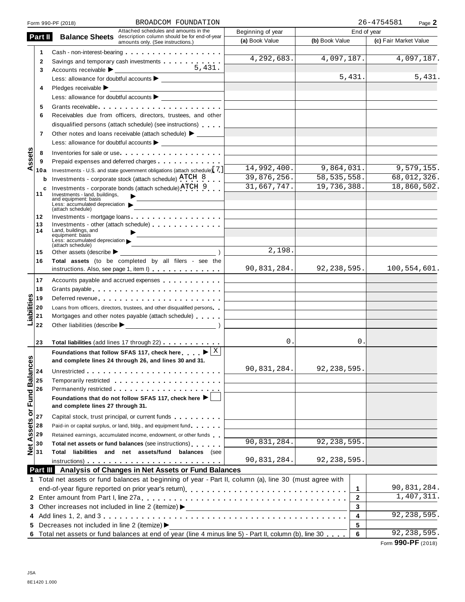|                            |          | BROADCOM FOUNDATION<br>Form 990-PF (2018)                                                                                                                                                                                      |                   |                | 26-4754581<br>Page 2  |
|----------------------------|----------|--------------------------------------------------------------------------------------------------------------------------------------------------------------------------------------------------------------------------------|-------------------|----------------|-----------------------|
|                            |          | Attached schedules and amounts in the                                                                                                                                                                                          | Beginning of year | End of year    |                       |
|                            | Part II  | <b>Balance Sheets</b> description column should be for end-of-year<br>amounts only. (See instructions.)                                                                                                                        | (a) Book Value    | (b) Book Value | (c) Fair Market Value |
|                            | 1        | Cash - non-interest-bearing                                                                                                                                                                                                    |                   |                |                       |
|                            | 2        | Savings and temporary cash investments                                                                                                                                                                                         | 4,292,683.        | 4,097,187.     | 4,097,187.            |
|                            | 3        | 5.431.                                                                                                                                                                                                                         |                   |                |                       |
|                            |          |                                                                                                                                                                                                                                |                   | 5,431.         | 5,431.                |
|                            | 4        | Pledges receivable $\blacktriangleright$                                                                                                                                                                                       |                   |                |                       |
|                            |          |                                                                                                                                                                                                                                |                   |                |                       |
|                            | 5        | Grants receivable experience in the contract of the contract of the contract of the contract of the contract of the contract of the contract of the contract of the contract of the contract of the contract of the contract o |                   |                |                       |
|                            | 6        | Receivables due from officers, directors, trustees, and other                                                                                                                                                                  |                   |                |                       |
|                            |          | disqualified persons (attach schedule) (see instructions)                                                                                                                                                                      |                   |                |                       |
|                            | 7        | Other notes and loans receivable (attach schedule) > ______                                                                                                                                                                    |                   |                |                       |
|                            |          | Less: allowance for doubtful accounts $\blacktriangleright$                                                                                                                                                                    |                   |                |                       |
|                            | 8        | Inventories for sale or use                                                                                                                                                                                                    |                   |                |                       |
| ssets                      | 9        |                                                                                                                                                                                                                                |                   |                |                       |
| ⋖                          | 10a      | Investments - U.S. and state government obligations (attach schedule) [7]                                                                                                                                                      | 14,992,400.       | 9,864,031.     | 9,579,155.            |
|                            | b        | Investments - corporate stock (attach schedule) ATCH 8                                                                                                                                                                         | 39,876,256.       | 58, 535, 558.  | 68,012,326.           |
|                            | c        | Investments - corporate bonds (attach schedule) ATCH 9                                                                                                                                                                         | 31,667,747.       | 19,736,388.    | 18,860,502.           |
|                            | 11       | Investments - land, buildings.                                                                                                                                                                                                 |                   |                |                       |
|                            |          | and equipment: basis<br>Less: accumulated depreciation                                                                                                                                                                         |                   |                |                       |
|                            |          | (attach schedule)                                                                                                                                                                                                              |                   |                |                       |
|                            | 12<br>13 | Investments - mortgage loans<br>Investments - other (attach schedule)                                                                                                                                                          |                   |                |                       |
|                            | 14       | Land, buildings, and                                                                                                                                                                                                           |                   |                |                       |
|                            |          | equipment: basis<br>Less: accumulated depreciation                                                                                                                                                                             |                   |                |                       |
|                            | 15       | <u> 1989 - Johann Barn, mars ann an t-</u><br>(attach schedule)<br>Other assets (describe $\blacktriangleright$                                                                                                                | 2,198.            |                |                       |
|                            | 16       | Total assets (to be completed by all filers - see the                                                                                                                                                                          |                   |                |                       |
|                            |          | instructions. Also, see page 1, item I)                                                                                                                                                                                        | 90,831,284.       | 92, 238, 595.  | 100,554,601.          |
|                            |          |                                                                                                                                                                                                                                |                   |                |                       |
|                            | 17       | Accounts payable and accrued expenses                                                                                                                                                                                          |                   |                |                       |
|                            | 18       | Grants payable                                                                                                                                                                                                                 |                   |                |                       |
|                            | 19       | Deferred revenue expansion of the state of the state of the state of the state of the state of the state of the state of the state of the state of the state of the state of the state of the state of the state of the state  |                   |                |                       |
|                            | 20<br>21 | Loans from officers, directors, trustees, and other disqualified persons<br>Mortgages and other notes payable (attach schedule)                                                                                                |                   |                |                       |
| Liabilities                | 22       |                                                                                                                                                                                                                                |                   |                |                       |
|                            |          |                                                                                                                                                                                                                                |                   |                |                       |
|                            | 23       | Total liabilities (add lines 17 through 22)                                                                                                                                                                                    | 0.                | 0.             |                       |
|                            |          | Foundations that follow SFAS 117, check here $\blacksquare$                                                                                                                                                                    |                   |                |                       |
| U)                         |          | and complete lines 24 through 26, and lines 30 and 31                                                                                                                                                                          |                   |                |                       |
|                            |          |                                                                                                                                                                                                                                | 90,831,284.       | 92, 238, 595.  |                       |
|                            | 24       |                                                                                                                                                                                                                                |                   |                |                       |
|                            | 25<br>26 |                                                                                                                                                                                                                                |                   |                |                       |
|                            |          | Foundations that do not follow SFAS 117, check here $\blacktriangleright$                                                                                                                                                      |                   |                |                       |
|                            |          | and complete lines 27 through 31.                                                                                                                                                                                              |                   |                |                       |
| Net Assets or Fund Balance | 27       | Capital stock, trust principal, or current funds                                                                                                                                                                               |                   |                |                       |
|                            | 28       | Paid-in or capital surplus, or land, bldg., and equipment fund                                                                                                                                                                 |                   |                |                       |
|                            | 29       | Retained earnings, accumulated income, endowment, or other funds                                                                                                                                                               |                   |                |                       |
|                            | 30       | Total net assets or fund balances (see instructions)                                                                                                                                                                           | 90,831,284.       | 92, 238, 595.  |                       |
|                            | 31       | Total liabilities and net assets/fund balances (see                                                                                                                                                                            |                   |                |                       |
|                            |          |                                                                                                                                                                                                                                | 90,831,284.       | 92, 238, 595.  |                       |
|                            |          | Part III Analysis of Changes in Net Assets or Fund Balances                                                                                                                                                                    |                   |                |                       |
|                            |          | 1 Total net assets or fund balances at beginning of year - Part II, column (a), line 30 (must agree with                                                                                                                       |                   |                |                       |
|                            |          |                                                                                                                                                                                                                                |                   | 1              | 90,831,284.           |
|                            |          |                                                                                                                                                                                                                                |                   | $\mathbf{2}$   | 1,407,311.            |
|                            |          |                                                                                                                                                                                                                                |                   | 3              |                       |
|                            |          |                                                                                                                                                                                                                                |                   | 4              | 92, 238, 595.         |
|                            |          | 5 Decreases not included in line 2 (itemize) >                                                                                                                                                                                 |                   | 5              |                       |
|                            |          | 6 Total net assets or fund balances at end of year (line 4 minus line 5) - Part II, column (b), line 30                                                                                                                        |                   | 6              | 92, 238, 595.         |
|                            |          |                                                                                                                                                                                                                                |                   |                |                       |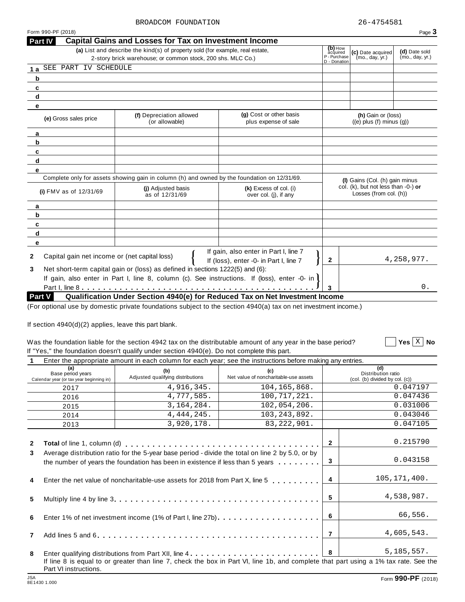| Form 990-PF (2018)                                 |                                                                                                                                              |                                                                                 |                                                     |                                                                     | Page 3                           |
|----------------------------------------------------|----------------------------------------------------------------------------------------------------------------------------------------------|---------------------------------------------------------------------------------|-----------------------------------------------------|---------------------------------------------------------------------|----------------------------------|
| <b>Part IV</b>                                     | <b>Capital Gains and Losses for Tax on Investment Income</b>                                                                                 |                                                                                 |                                                     |                                                                     |                                  |
|                                                    | (a) List and describe the kind(s) of property sold (for example, real estate,<br>2-story brick warehouse; or common stock, 200 shs. MLC Co.) |                                                                                 | (b) How<br>acquired<br>P - Purchase<br>D - Donation | (c) Date acquired<br>(mo., day, yr.)                                | (d) Date sold<br>(mo., day, yr.) |
| SEE PART IV SCHEDULE<br>1a                         |                                                                                                                                              |                                                                                 |                                                     |                                                                     |                                  |
| b                                                  |                                                                                                                                              |                                                                                 |                                                     |                                                                     |                                  |
| c                                                  |                                                                                                                                              |                                                                                 |                                                     |                                                                     |                                  |
| d                                                  |                                                                                                                                              |                                                                                 |                                                     |                                                                     |                                  |
| е                                                  |                                                                                                                                              |                                                                                 |                                                     |                                                                     |                                  |
| (e) Gross sales price                              | (f) Depreciation allowed<br>(or allowable)                                                                                                   | (g) Cost or other basis<br>plus expense of sale                                 |                                                     | (h) Gain or (loss)<br>$((e)$ plus $(f)$ minus $(g)$ )               |                                  |
| a                                                  |                                                                                                                                              |                                                                                 |                                                     |                                                                     |                                  |
| b                                                  |                                                                                                                                              |                                                                                 |                                                     |                                                                     |                                  |
| c                                                  |                                                                                                                                              |                                                                                 |                                                     |                                                                     |                                  |
| d                                                  |                                                                                                                                              |                                                                                 |                                                     |                                                                     |                                  |
| е                                                  |                                                                                                                                              |                                                                                 |                                                     |                                                                     |                                  |
|                                                    | Complete only for assets showing gain in column (h) and owned by the foundation on 12/31/69.                                                 |                                                                                 |                                                     | (I) Gains (Col. (h) gain minus                                      |                                  |
| (i) $FMV$ as of $12/31/69$                         | (i) Adjusted basis<br>as of 12/31/69                                                                                                         | (k) Excess of col. (i)<br>over col. (j), if any                                 |                                                     | col. $(k)$ , but not less than $-0$ -) or<br>Losses (from col. (h)) |                                  |
| а                                                  |                                                                                                                                              |                                                                                 |                                                     |                                                                     |                                  |
| b                                                  |                                                                                                                                              |                                                                                 |                                                     |                                                                     |                                  |
| c                                                  |                                                                                                                                              |                                                                                 |                                                     |                                                                     |                                  |
| d                                                  |                                                                                                                                              |                                                                                 |                                                     |                                                                     |                                  |
| е                                                  |                                                                                                                                              |                                                                                 |                                                     |                                                                     |                                  |
| Capital gain net income or (net capital loss)<br>2 |                                                                                                                                              | If gain, also enter in Part I, line 7<br>If (loss), enter -0- in Part I, line 7 | $\mathbf{2}$                                        |                                                                     | 4, 258, 977.                     |
| 3                                                  | Net short-term capital gain or (loss) as defined in sections 1222(5) and (6):                                                                |                                                                                 |                                                     |                                                                     |                                  |
|                                                    | If gain, also enter in Part I, line 8, column (c). See instructions. If (loss), enter -0- in                                                 |                                                                                 |                                                     |                                                                     |                                  |
|                                                    |                                                                                                                                              |                                                                                 |                                                     |                                                                     | 0.                               |
| Part V                                             | Qualification Under Section 4940(e) for Reduced Tax on Net Investment Income                                                                 |                                                                                 |                                                     |                                                                     |                                  |
|                                                    | antional use by democratic princts foundations oublest to the cooting 1010(a) toy an pat investment income )                                 |                                                                                 |                                                     |                                                                     |                                  |

(For optional use by domestic private foundations subject to the section 4940(a) tax on net investment income.)

If section 4940(d)(2) applies, leave this part blank.

## Was the foundation liable for the section 4942 tax on the distributable amount of any year in the base period? If "Yes," the foundation doesn't qualify under section 4940(e). Do not complete this part.

**1** Enter the appropriate amount in each column for each year; see the instructions before making any entries.

|              | (a)<br>Base period years<br>Calendar year (or tax year beginning in) | (b)<br>Adjusted qualifying distributions                                                                                                                                                        | Liker the appropriate amount in each column for each year, see the instructions before making any entries.<br>Net value of noncharitable-use assets |                         | (d)<br>Distribution ratio<br>(col. (b) divided by col. (c)) |
|--------------|----------------------------------------------------------------------|-------------------------------------------------------------------------------------------------------------------------------------------------------------------------------------------------|-----------------------------------------------------------------------------------------------------------------------------------------------------|-------------------------|-------------------------------------------------------------|
|              | 2017                                                                 | 4,916,345.                                                                                                                                                                                      | 104,165,868.                                                                                                                                        |                         | 0.047197                                                    |
|              | 2016                                                                 | 4,777,585.                                                                                                                                                                                      | 100,717,221.                                                                                                                                        |                         | 0.047436                                                    |
|              | 2015                                                                 | 3, 164, 284.                                                                                                                                                                                    | 102,054,206.                                                                                                                                        |                         | 0.031006                                                    |
|              | 2014                                                                 | 4, 444, 245.                                                                                                                                                                                    | 103, 243, 892.                                                                                                                                      |                         | 0.043046                                                    |
|              | 2013                                                                 | 3,920,178.                                                                                                                                                                                      | 83, 222, 901.                                                                                                                                       |                         | 0.047105                                                    |
| $\mathbf{2}$ |                                                                      |                                                                                                                                                                                                 |                                                                                                                                                     | $\mathbf{2}$            | 0.215790                                                    |
| 3            |                                                                      | Average distribution ratio for the 5-year base period - divide the total on line 2 by 5.0, or by<br>the number of years the foundation has been in existence if less than 5 years $\dots \dots$ |                                                                                                                                                     | $\mathbf{3}$            | 0.043158                                                    |
| 4            |                                                                      | Enter the net value of noncharitable-use assets for 2018 from Part X, line 5                                                                                                                    |                                                                                                                                                     | $\overline{4}$          | 105, 171, 400.                                              |
| 5            |                                                                      |                                                                                                                                                                                                 |                                                                                                                                                     | 5                       | 4,538,987.                                                  |
| 6            |                                                                      |                                                                                                                                                                                                 |                                                                                                                                                     | 6                       | 66,556.                                                     |
| $\mathbf{7}$ |                                                                      |                                                                                                                                                                                                 |                                                                                                                                                     | $\overline{7}$          | 4,605,543.                                                  |
| 8            |                                                                      |                                                                                                                                                                                                 | Enter qualifying distributions from Part XII, line 4                                                                                                | $\overline{\mathbf{8}}$ | 5, 185, 557.                                                |
|              | Part VI instructions.                                                |                                                                                                                                                                                                 | If line 8 is equal to or greater than line 7, check the box in Part VI, line 1b, and complete that part using a 1% tax rate. See the                |                         |                                                             |

 $\boxed{\phantom{1}}$  Yes  $\boxed{\text{X}}$  No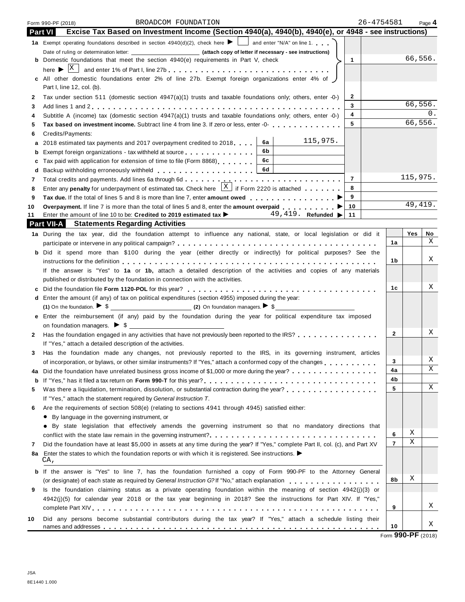|              | 26-4754581<br>BROADCOM FOUNDATION<br>Form 990-PF (2018)                                                                                                                                                                       |                |          | Page 4 |
|--------------|-------------------------------------------------------------------------------------------------------------------------------------------------------------------------------------------------------------------------------|----------------|----------|--------|
|              | Excise Tax Based on Investment Income (Section 4940(a), 4940(b), 4940(e), or 4948 - see instructions)<br><b>Part VI</b>                                                                                                       |                |          |        |
|              |                                                                                                                                                                                                                               |                |          |        |
|              |                                                                                                                                                                                                                               |                |          |        |
|              | <b>b</b> Domestic foundations that meet the section 4940(e) requirements in Part V, check<br>$\mathbf{1}$                                                                                                                     |                | 66,556.  |        |
|              | here $\blacktriangleright$ $ X $<br>and enter 1% of Part I, line 27b                                                                                                                                                          |                |          |        |
|              | c All other domestic foundations enter 2% of line 27b. Exempt foreign organizations enter 4% of )                                                                                                                             |                |          |        |
|              | Part I, line 12, col. (b).                                                                                                                                                                                                    |                |          |        |
| $\mathbf{2}$ | 2<br>Tax under section 511 (domestic section $4947(a)(1)$ trusts and taxable foundations only; others, enter -0-)                                                                                                             |                |          |        |
| 3            | 3                                                                                                                                                                                                                             |                | 66,556.  | Ω.     |
| 4            | 4<br>Subtitle A (income) tax (domestic section $4947(a)(1)$ trusts and taxable foundations only; others, enter -0-)                                                                                                           |                | 66,556.  |        |
| 5            | 5<br>Tax based on investment income. Subtract line 4 from line 3. If zero or less, enter -0-                                                                                                                                  |                |          |        |
| 6            | Credits/Payments:<br>115,975.                                                                                                                                                                                                 |                |          |        |
| а            | 6a<br>2018 estimated tax payments and 2017 overpayment credited to 2018.                                                                                                                                                      |                |          |        |
| b            | 6b<br>Exempt foreign organizations - tax withheld at source<br>6c                                                                                                                                                             |                |          |        |
| c            | Tax paid with application for extension of time to file (Form 8868)<br>6d                                                                                                                                                     |                |          |        |
| d<br>7       | Backup withholding erroneously withheld [1] [1] Backup withholding erroneously withheld<br>$\overline{7}$                                                                                                                     |                | 115,975. |        |
| 8            | Enter any <b>penalty</b> for underpayment of estimated tax. Check here $\begin{bmatrix} X \\ \end{bmatrix}$ if Form 2220 is attached<br>8                                                                                     |                |          |        |
| 9            | 9<br>Tax due. If the total of lines 5 and 8 is more than line 7, enter amount owed <b>expanding to the lines</b>                                                                                                              |                |          |        |
| 10           | 10<br>Overpayment. If line 7 is more than the total of lines 5 and 8, enter the amount overpaid                                                                                                                               |                | 49, 419. |        |
| 11           | Enter the amount of line 10 to be: Credited to 2019 estimated tax $\blacktriangleright$ 49, 419. Refunded $\blacktriangleright$<br>11                                                                                         |                |          |        |
|              | <b>Part VII-A</b><br><b>Statements Regarding Activities</b>                                                                                                                                                                   |                |          |        |
|              | 1a During the tax year, did the foundation attempt to influence any national, state, or local legislation or did it                                                                                                           |                | Yes      | No     |
|              |                                                                                                                                                                                                                               | 1a             |          | Χ      |
|              | b Did it spend more than \$100 during the year (either directly or indirectly) for political purposes? See the                                                                                                                |                |          |        |
|              |                                                                                                                                                                                                                               | 1b             |          | Χ      |
|              | If the answer is "Yes" to 1a or 1b, attach a detailed description of the activities and copies of any materials                                                                                                               |                |          |        |
|              | published or distributed by the foundation in connection with the activities.                                                                                                                                                 |                |          |        |
| c            |                                                                                                                                                                                                                               | 1с             |          | Χ      |
|              | d Enter the amount (if any) of tax on political expenditures (section 4955) imposed during the year:                                                                                                                          |                |          |        |
|              | (1) On the foundation. $\triangleright$ \$                                                                                                                                                                                    |                |          |        |
|              | e Enter the reimbursement (if any) paid by the foundation during the year for political expenditure tax imposed                                                                                                               |                |          |        |
|              |                                                                                                                                                                                                                               | $\overline{2}$ |          | Χ      |
| 2            | Has the foundation engaged in any activities that have not previously been reported to the IRS?                                                                                                                               |                |          |        |
|              | If "Yes," attach a detailed description of the activities.                                                                                                                                                                    |                |          |        |
| 3            | Has the foundation made any changes, not previously reported to the IRS, in its governing instrument, articles<br>of incorporation, or bylaws, or other similar instruments? If "Yes," attach a conformed copy of the changes | 3              |          | Χ      |
| 4a           | Did the foundation have unrelated business gross income of \$1,000 or more during the year?                                                                                                                                   | 4a             |          | X      |
| b            |                                                                                                                                                                                                                               | 4b             |          |        |
| 5            | Was there a liquidation, termination, dissolution, or substantial contraction during the year?                                                                                                                                | 5              |          | Χ      |
|              | If "Yes," attach the statement required by General Instruction T.                                                                                                                                                             |                |          |        |
| 6            | Are the requirements of section 508(e) (relating to sections 4941 through 4945) satisfied either:                                                                                                                             |                |          |        |
|              | • By language in the governing instrument, or                                                                                                                                                                                 |                |          |        |
|              | • By state legislation that effectively amends the governing instrument so that no mandatory directions that                                                                                                                  |                |          |        |
|              |                                                                                                                                                                                                                               | 6              | Χ        |        |
| 7            | Did the foundation have at least \$5,000 in assets at any time during the year? If "Yes," complete Part II, col. (c), and Part XV                                                                                             | $\overline{7}$ | Χ        |        |
| 8a           | Enter the states to which the foundation reports or with which it is registered. See instructions. $\blacktriangleright$                                                                                                      |                |          |        |
|              | CA,                                                                                                                                                                                                                           |                |          |        |
| b            | If the answer is "Yes" to line 7, has the foundation furnished a copy of Form 990-PF to the Attorney General                                                                                                                  |                |          |        |
|              | (or designate) of each state as required by General Instruction G?If "No," attach explanation                                                                                                                                 | 8b             | Χ        |        |
| 9            | Is the foundation claiming status as a private operating foundation within the meaning of section 4942(j)(3) or                                                                                                               |                |          |        |
|              | 4942(j)(5) for calendar year 2018 or the tax year beginning in 2018? See the instructions for Part XIV. If "Yes,"                                                                                                             |                |          | Χ      |
|              |                                                                                                                                                                                                                               | 9              |          |        |
| 10           | Did any persons become substantial contributors during the tax year? If "Yes," attach a schedule listing their                                                                                                                |                |          | Χ      |
|              |                                                                                                                                                                                                                               | 10             |          |        |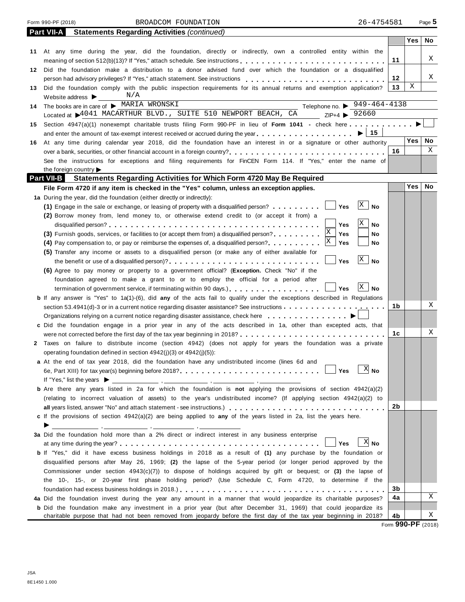| Form 990-PF (2018) |  |
|--------------------|--|
|                    |  |

Form 990-PF (2018) Page **5** BROADCOM FOUNDATION 26-4754581

|     | <b>Statements Regarding Activities (continued)</b><br><b>Part VII-A</b>                                                                                                         |    |            |    |
|-----|---------------------------------------------------------------------------------------------------------------------------------------------------------------------------------|----|------------|----|
|     |                                                                                                                                                                                 |    | Yes        | No |
|     | 11 At any time during the year, did the foundation, directly or indirectly, own a controlled entity within the                                                                  |    |            |    |
|     |                                                                                                                                                                                 | 11 |            | X  |
|     | 12 Did the foundation make a distribution to a donor advised fund over which the foundation or a disqualified                                                                   |    |            |    |
|     |                                                                                                                                                                                 | 12 |            | Χ  |
| 13. | Did the foundation comply with the public inspection requirements for its annual returns and exemption application?                                                             | 13 | Χ          |    |
|     | N/A<br>Website address $\blacktriangleright$                                                                                                                                    |    |            |    |
| 14  | Telephone no. $\triangleright$ 949-464-4138<br>The books are in care of MARIA WRONSKI                                                                                           |    |            |    |
|     | Located at \$4041 MACARTHUR BLVD., SUITE 510 NEWPORT BEACH, CA<br>$ZIP+4$ $\triangleright$ 92660                                                                                |    |            |    |
| 15  | Section 4947(a)(1) nonexempt charitable trusts filing Form 990-PF in lieu of Form 1041 - check here                                                                             |    |            |    |
|     | 15                                                                                                                                                                              |    |            |    |
| 16. | At any time during calendar year 2018, did the foundation have an interest in or a signature or other authority                                                                 |    | Yes        | No |
|     | over a bank, securities, or other financial account in a foreign country?                                                                                                       | 16 |            | Χ  |
|     | See the instructions for exceptions and filing requirements for FinCEN Form 114. If "Yes," enter the name of                                                                    |    |            |    |
|     | the foreign country $\blacktriangleright$                                                                                                                                       |    |            |    |
|     | <b>Part VII-B</b><br><b>Statements Regarding Activities for Which Form 4720 May Be Required</b>                                                                                 |    |            |    |
|     | File Form 4720 if any item is checked in the "Yes" column, unless an exception applies.                                                                                         |    | <b>Yes</b> | No |
|     | 1a During the year, did the foundation (either directly or indirectly):                                                                                                         |    |            |    |
|     | $\mathbf{X}$<br><b>No</b><br>Yes<br>(1) Engage in the sale or exchange, or leasing of property with a disqualified person?                                                      |    |            |    |
|     | (2) Borrow money from, lend money to, or otherwise extend credit to (or accept it from) a                                                                                       |    |            |    |
|     | Χ<br>No<br>Yes                                                                                                                                                                  |    |            |    |
|     | (3) Furnish goods, services, or facilities to (or accept them from) a disqualified person?<br>Yes<br>No                                                                         |    |            |    |
|     | Yes<br>No<br>(4) Pay compensation to, or pay or reimburse the expenses of, a disqualified person?                                                                               |    |            |    |
|     | (5) Transfer any income or assets to a disqualified person (or make any of either available for                                                                                 |    |            |    |
|     | X<br><b>No</b><br>Yes<br>the benefit or use of a disqualified person)?                                                                                                          |    |            |    |
|     | (6) Agree to pay money or property to a government official? (Exception. Check "No" if the                                                                                      |    |            |    |
|     | foundation agreed to make a grant to or to employ the official for a period after                                                                                               |    |            |    |
|     | X <br>No<br>termination of government service, if terminating within 90 days.)<br><b>Yes</b>                                                                                    |    |            |    |
|     | <b>b</b> If any answer is "Yes" to 1a(1)-(6), did any of the acts fail to qualify under the exceptions described in Regulations                                                 |    |            |    |
|     | section 53.4941(d)-3 or in a current notice regarding disaster assistance? See instructions $\ldots \ldots \ldots \ldots \ldots$                                                | 1b |            | Χ  |
|     | Organizations relying on a current notice regarding disaster assistance, check here $\ldots \ldots \ldots$                                                                      |    |            |    |
|     | c Did the foundation engage in a prior year in any of the acts described in 1a, other than excepted acts, that                                                                  |    |            |    |
|     |                                                                                                                                                                                 | 1c |            | Χ  |
|     | 2 Taxes on failure to distribute income (section 4942) (does not apply for years the foundation was a private                                                                   |    |            |    |
|     | operating foundation defined in section $4942(j)(3)$ or $4942(j)(5)$ :                                                                                                          |    |            |    |
|     | a At the end of tax year 2018, did the foundation have any undistributed income (lines 6d and                                                                                   |    |            |    |
|     |                                                                                                                                                                                 |    |            |    |
|     | If "Yes," list the years $\blacktriangleright$                                                                                                                                  |    |            |    |
|     | <b>b</b> Are there any years listed in 2a for which the foundation is not applying the provisions of section 4942(a)(2)                                                         |    |            |    |
|     | (relating to incorrect valuation of assets) to the year's undistributed income? (If applying section 4942(a)(2) to                                                              | 2b |            |    |
|     |                                                                                                                                                                                 |    |            |    |
|     | c If the provisions of section 4942(a)(2) are being applied to any of the years listed in 2a, list the years here.                                                              |    |            |    |
|     | <u> المستخدمات المستخدمات والمستخدمات المستخدمات والمستخدمات المستخدمات</u><br>3a Did the foundation hold more than a 2% direct or indirect interest in any business enterprise |    |            |    |
|     | $X$ No                                                                                                                                                                          |    |            |    |
|     | <b>Yes</b><br>b If "Yes," did it have excess business holdings in 2018 as a result of (1) any purchase by the foundation or                                                     |    |            |    |
|     |                                                                                                                                                                                 |    |            |    |
|     | disqualified persons after May 26, 1969; (2) the lapse of the 5-year period (or longer period approved by the                                                                   |    |            |    |
|     | Commissioner under section $4943(c)(7)$ ) to dispose of holdings acquired by gift or bequest; or (3) the lapse of                                                               |    |            |    |
|     | the 10-, 15-, or 20-year first phase holding period? (Use Schedule C, Form 4720, to determine if the                                                                            | 3b |            |    |
|     | 4a Did the foundation invest during the year any amount in a manner that would jeopardize its charitable purposes?                                                              | 4a |            | Χ  |
|     | <b>b</b> Did the foundation make any investment in a prior year (but after December 31, 1969) that could jeopardize its                                                         |    |            |    |
|     | charitable purpose that had not been removed from jeopardy before the first day of the tax year beginning in 2018?                                                              | 4b |            | Χ  |
|     |                                                                                                                                                                                 |    |            |    |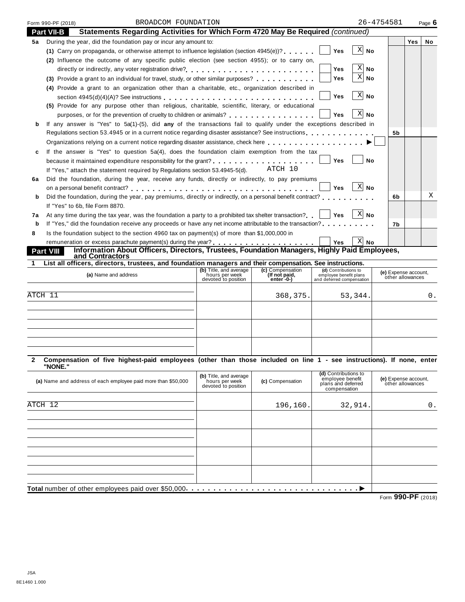|    | BROADCOM FOUNDATION<br>Form 990-PF (2018)                                                                                                                                                                                         | 26-4754581                |            | Page $6$ |
|----|-----------------------------------------------------------------------------------------------------------------------------------------------------------------------------------------------------------------------------------|---------------------------|------------|----------|
|    | Statements Regarding Activities for Which Form 4720 May Be Required (continued)<br><b>Part VII-B</b>                                                                                                                              |                           |            |          |
| 5а | During the year, did the foundation pay or incur any amount to:                                                                                                                                                                   |                           | <b>Yes</b> | No       |
|    | (1) Carry on propaganda, or otherwise attempt to influence legislation (section $4945(e)$ )?<br><b>Yes</b>                                                                                                                        | $\mathbf{X}$<br><b>No</b> |            |          |
|    | (2) Influence the outcome of any specific public election (see section 4955); or to carry on,                                                                                                                                     |                           |            |          |
|    | <b>Yes</b><br>directly or indirectly, any voter registration drive?                                                                                                                                                               | $X $ No                   |            |          |
|    | Yes<br>(3) Provide a grant to an individual for travel, study, or other similar purposes?                                                                                                                                         | X <br>  No                |            |          |
|    | (4) Provide a grant to an organization other than a charitable, etc., organization described in                                                                                                                                   |                           |            |          |
|    | <b>Yes</b><br>section $4945(d)(4)(A)$ ? See instructions external extended in the section $4945(d)(A)$ ? See instructions extended in the section of $A$                                                                          | X <br>No                  |            |          |
|    | (5) Provide for any purpose other than religious, charitable, scientific, literary, or educational                                                                                                                                |                           |            |          |
|    | purposes, or for the prevention of cruelty to children or animals?<br><br>Yes                                                                                                                                                     | X <br><b>No</b>           |            |          |
| b  | If any answer is "Yes" to 5a(1)-(5), did any of the transactions fail to qualify under the exceptions described in                                                                                                                |                           |            |          |
|    | Regulations section 53.4945 or in a current notice regarding disaster assistance? See instructions                                                                                                                                | 5b                        |            |          |
|    | Organizations relying on a current notice regarding disaster assistance, check here <b>and a strugglering</b> in a set a set and a set a set of the basic of the basic of the basic of the basic of the basic of the basic of the |                           |            |          |
|    | If the answer is "Yes" to question 5a(4), does the foundation claim exemption from the tax                                                                                                                                        |                           |            |          |
|    | Yes<br>because it maintained expenditure responsibility for the grant? $\ldots$ , $\ldots$ , $\ldots$ , $\ldots$ , $\ldots$ , $\ldots$                                                                                            | <b>No</b>                 |            |          |
|    | ATCH 10<br>If "Yes," attach the statement required by Regulations section 53.4945-5(d).                                                                                                                                           |                           |            |          |
| 6a | Did the foundation, during the year, receive any funds, directly or indirectly, to pay premiums                                                                                                                                   |                           |            |          |
|    | <b>Yes</b>                                                                                                                                                                                                                        | X<br>No                   |            |          |
| b  | Did the foundation, during the year, pay premiums, directly or indirectly, on a personal benefit contract?                                                                                                                        | 6b                        |            | Χ        |
|    | If "Yes" to 6b. file Form 8870.                                                                                                                                                                                                   |                           |            |          |
| 7а | At any time during the tax year, was the foundation a party to a prohibited tax shelter transaction?     Yes                                                                                                                      | $ X $ No                  |            |          |
| b  | If "Yes," did the foundation receive any proceeds or have any net income attributable to the transaction?                                                                                                                         | 7b                        |            |          |
| 8  | Is the foundation subject to the section 4960 tax on payment(s) of more than \$1,000,000 in                                                                                                                                       |                           |            |          |
|    | <b>Yes</b>                                                                                                                                                                                                                        | ΧI<br><b>No</b>           |            |          |
|    | Information About Officers, Directors, Trustees, Foundation Managers, Highly Paid Employees,<br><b>Part VIII</b><br>and Contractors                                                                                               |                           |            |          |

| List all officers, directors, trustees, and foundation managers and their compensation. See instructions. |                                                                 |                                                  |                                                                             |                                          |
|-----------------------------------------------------------------------------------------------------------|-----------------------------------------------------------------|--------------------------------------------------|-----------------------------------------------------------------------------|------------------------------------------|
| (a) Name and address                                                                                      | (b) Title, and average<br>hours per week<br>devoted to position | (c) Compensation<br>(If not paid,<br>$enter - 0$ | (d) Contributions to<br>employee benefit plans<br>and deferred compensation | (e) Expense account,<br>other allowances |
|                                                                                                           |                                                                 |                                                  |                                                                             |                                          |
| ATCH 11                                                                                                   |                                                                 | 368,375.                                         | 53,344.                                                                     | 0.                                       |
|                                                                                                           |                                                                 |                                                  |                                                                             |                                          |
|                                                                                                           |                                                                 |                                                  |                                                                             |                                          |
|                                                                                                           |                                                                 |                                                  |                                                                             |                                          |
|                                                                                                           |                                                                 |                                                  |                                                                             |                                          |
|                                                                                                           |                                                                 |                                                  |                                                                             |                                          |
|                                                                                                           |                                                                 |                                                  |                                                                             |                                          |

### 2 Compensation of five highest-paid employees (other than those included on line 1 - see instructions). If none, enter **"NONE."**

| (a) Name and address of each employee paid more than \$50,000 | (b) Title, and average<br>hours per week<br>devoted to position | (c) Compensation | (d) Contributions to<br>employee benefit<br>plans and deferred<br>compensation | (e) Expense account,<br>other allowances                               |
|---------------------------------------------------------------|-----------------------------------------------------------------|------------------|--------------------------------------------------------------------------------|------------------------------------------------------------------------|
|                                                               |                                                                 |                  |                                                                                |                                                                        |
| ATCH 12                                                       |                                                                 | 196,160.         | 32,914.                                                                        | 0.                                                                     |
|                                                               |                                                                 |                  |                                                                                |                                                                        |
|                                                               |                                                                 |                  |                                                                                |                                                                        |
|                                                               |                                                                 |                  |                                                                                |                                                                        |
|                                                               |                                                                 |                  |                                                                                |                                                                        |
|                                                               |                                                                 |                  |                                                                                |                                                                        |
|                                                               |                                                                 |                  |                                                                                |                                                                        |
|                                                               |                                                                 |                  |                                                                                |                                                                        |
|                                                               |                                                                 |                  |                                                                                |                                                                        |
| Total number of other employees paid over \$50,000.           |                                                                 |                  |                                                                                |                                                                        |
|                                                               |                                                                 |                  |                                                                                | $0.00 \text{ } \text{D} \text{ } \text{C}$<br>$\overline{\phantom{a}}$ |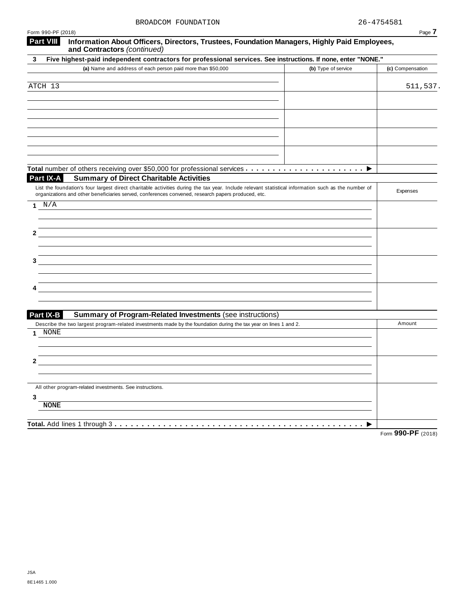| Form 990-PF (2018)                                                                                                                                                                                                                                        |                     | Page 7           |
|-----------------------------------------------------------------------------------------------------------------------------------------------------------------------------------------------------------------------------------------------------------|---------------------|------------------|
| <b>Part VIII</b><br>Information About Officers, Directors, Trustees, Foundation Managers, Highly Paid Employees,<br>and Contractors (continued)                                                                                                           |                     |                  |
| Five highest-paid independent contractors for professional services. See instructions. If none, enter "NONE."<br>3                                                                                                                                        |                     |                  |
| (a) Name and address of each person paid more than \$50,000                                                                                                                                                                                               | (b) Type of service | (c) Compensation |
|                                                                                                                                                                                                                                                           |                     |                  |
| ATCH 13                                                                                                                                                                                                                                                   |                     | 511,537.         |
|                                                                                                                                                                                                                                                           |                     |                  |
|                                                                                                                                                                                                                                                           |                     |                  |
|                                                                                                                                                                                                                                                           |                     |                  |
|                                                                                                                                                                                                                                                           |                     |                  |
|                                                                                                                                                                                                                                                           |                     |                  |
|                                                                                                                                                                                                                                                           |                     |                  |
|                                                                                                                                                                                                                                                           |                     |                  |
|                                                                                                                                                                                                                                                           |                     |                  |
| Part IX-A<br><b>Summary of Direct Charitable Activities</b>                                                                                                                                                                                               |                     |                  |
| List the foundation's four largest direct charitable activities during the tax year. Include relevant statistical information such as the number of<br>organizations and other beneficiaries served, conferences convened, research papers produced, etc. |                     | Expenses         |
| 1 $N/A$                                                                                                                                                                                                                                                   |                     |                  |
|                                                                                                                                                                                                                                                           |                     |                  |
|                                                                                                                                                                                                                                                           |                     |                  |
| 2                                                                                                                                                                                                                                                         |                     |                  |
|                                                                                                                                                                                                                                                           |                     |                  |
|                                                                                                                                                                                                                                                           |                     |                  |
|                                                                                                                                                                                                                                                           |                     |                  |
|                                                                                                                                                                                                                                                           |                     |                  |
|                                                                                                                                                                                                                                                           |                     |                  |
|                                                                                                                                                                                                                                                           |                     |                  |
| Part IX-B                                                                                                                                                                                                                                                 |                     |                  |
| <b>Summary of Program-Related Investments (see instructions)</b><br>Describe the two largest program-related investments made by the foundation during the tax year on lines 1 and 2.                                                                     |                     | Amount           |
| NONE<br>1                                                                                                                                                                                                                                                 |                     |                  |
|                                                                                                                                                                                                                                                           |                     |                  |
|                                                                                                                                                                                                                                                           |                     |                  |
| 2                                                                                                                                                                                                                                                         |                     |                  |
|                                                                                                                                                                                                                                                           |                     |                  |
| All other program-related investments. See instructions.                                                                                                                                                                                                  |                     |                  |
| 3                                                                                                                                                                                                                                                         |                     |                  |
| <b>NONE</b>                                                                                                                                                                                                                                               |                     |                  |
|                                                                                                                                                                                                                                                           |                     |                  |
| Total. Add lines 1 through 3                                                                                                                                                                                                                              |                     | 000 DE           |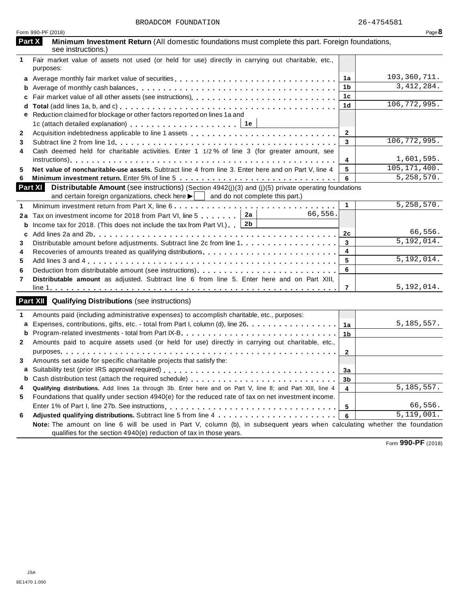|              | Form 990-PF (2018)                                                                                                                                                                                                                 |                | Page $8$       |
|--------------|------------------------------------------------------------------------------------------------------------------------------------------------------------------------------------------------------------------------------------|----------------|----------------|
|              | Part X<br>Minimum Investment Return (All domestic foundations must complete this part. Foreign foundations,<br>see instructions.)                                                                                                  |                |                |
| 1            | Fair market value of assets not used (or held for use) directly in carrying out charitable, etc.,<br>purposes:                                                                                                                     |                |                |
| a            |                                                                                                                                                                                                                                    | 1a             | 103, 360, 711. |
| b            |                                                                                                                                                                                                                                    | 1 <sub>b</sub> | 3, 412, 284.   |
| c            |                                                                                                                                                                                                                                    | 1 <sub>c</sub> |                |
|              |                                                                                                                                                                                                                                    | 1 <sub>d</sub> | 106, 772, 995. |
| е            | Reduction claimed for blockage or other factors reported on lines 1a and                                                                                                                                                           |                |                |
|              | 1c (attach detailed explanation) entitled in the set of the set of the set of the set of the set of the set of the set of the set of the set of the set of the set of the set of the set of the set of the set of the set of t     |                |                |
| $\mathbf{2}$ |                                                                                                                                                                                                                                    | $\mathbf{2}$   |                |
| 3            |                                                                                                                                                                                                                                    | 3              | 106, 772, 995. |
| 4            | Cash deemed held for charitable activities. Enter 1 1/2% of line 3 (for greater amount, see                                                                                                                                        |                |                |
|              |                                                                                                                                                                                                                                    | 4              | 1,601,595.     |
| 5            | Net value of noncharitable-use assets. Subtract line 4 from line 3. Enter here and on Part V, line 4                                                                                                                               | 5              | 105, 171, 400. |
| 6            |                                                                                                                                                                                                                                    | 6              | 5, 258, 570.   |
|              | <b>Part XI</b> Distributable Amount (see instructions) (Section 4942(j)(3) and (j)(5) private operating foundations<br>and certain foreign organizations, check here $\blacktriangleright$ $\vert$ and do not complete this part.) |                |                |
| 1            | Minimum investment return from Part X, line 6                                                                                                                                                                                      | $\mathbf{1}$   | 5, 258, 570.   |
| 2a           | 66,556.<br>Tax on investment income for 2018 from Part VI, line 5 2a                                                                                                                                                               |                |                |
| b            | Income tax for 2018. (This does not include the tax from Part VI.) $2b$                                                                                                                                                            |                |                |
| C            |                                                                                                                                                                                                                                    | 2c             | 66,556.        |
| 3            | Distributable amount before adjustments. Subtract line 2c from line 1                                                                                                                                                              | 3              | 5, 192, 014.   |
| 4            |                                                                                                                                                                                                                                    | 4              |                |
| 5            |                                                                                                                                                                                                                                    | 5              | 5, 192, 014.   |
| 6            |                                                                                                                                                                                                                                    | 6              |                |
| 7            | Distributable amount as adjusted. Subtract line 6 from line 5. Enter here and on Part XIII,                                                                                                                                        |                |                |
|              |                                                                                                                                                                                                                                    | 7              | 5,192,014.     |
|              | <b>Part XII</b> Qualifying Distributions (see instructions)                                                                                                                                                                        |                |                |
| 1            | Amounts paid (including administrative expenses) to accomplish charitable, etc., purposes:                                                                                                                                         |                |                |
| a            | Expenses, contributions, gifts, etc. - total from Part I, column (d), line 26.                                                                                                                                                     | 1a             | 5, 185, 557.   |
| b            |                                                                                                                                                                                                                                    | 1 <sub>b</sub> |                |
| $\mathbf{2}$ | Amounts paid to acquire assets used (or held for use) directly in carrying out charitable, etc.,                                                                                                                                   |                |                |
|              | purposes entering the series of the series of the series of the series of the series of the series of the series                                                                                                                   | $\mathbf{2}$   |                |
|              | Amounts set aside for specific charitable projects that satisfy the:                                                                                                                                                               |                |                |
|              |                                                                                                                                                                                                                                    | <u>3a</u>      |                |
| b            |                                                                                                                                                                                                                                    | 3b             |                |
| 4            | Qualifying distributions. Add lines 1a through 3b. Enter here and on Part V, line 8; and Part XIII, line 4                                                                                                                         | 4              | 5, 185, 557.   |
| 5            | Foundations that qualify under section 4940(e) for the reduced rate of tax on net investment income.                                                                                                                               |                |                |
|              |                                                                                                                                                                                                                                    | 5              | 66,556.        |
| 6            |                                                                                                                                                                                                                                    | 6              | 5,119,001.     |
|              | Note: The amount on line 6 will be used in Part V, column (b), in subsequent years when calculating whether the foundation<br>qualifies for the section 4940(e) reduction of tax in those years.                                   |                |                |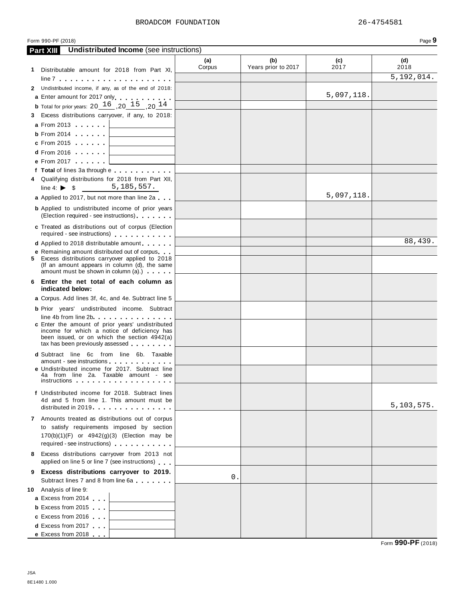| BROADCOM FOUNDATION | 26-4754581 |
|---------------------|------------|
|                     |            |

**(a)**

**(b)**

**Part XIII Undistributed Income** (see instructions)

**(c)**

**Corpus** Years prior to 2017 2017 2018 **1** Distributable amount for 2018 from Part XI, line <sup>7</sup> m m m m m m m m m m m m m m m m m m m m m **2** Undistributed income, if any, as of the end of 2018: **a** Enter amount for 2017 only **b** Total for prior years:  $20 \underline{~~} 16 \underline{~~} , 20 \underline{~~} 15 \underline{~~} , 20 \underline{~~} 14$ **3** Excess distributions carryover, if any, to 2018: **a** From 2013 **<sup>b</sup>** From <sup>2014</sup> m m m m m m **<sup>c</sup>** From <sup>2015</sup> m m m m m m **d** From 2016 **m** m m m m **e** From 2017 **m** m m m m m m **<sup>f</sup> Total** of lines 3a through <sup>e</sup> m m m m m m m m m m m **4** Qualifying distributions for 2018 from Part XII,  $line 4: \rightarrow$  \$ **a** Applied to 2017, but not more than line 2a **b** Applied to undistributed income of prior years (Election required - see instructions) **c** Treated as distributions out of corpus (Election required - see instructions) m m m m m m m m m m m **d** Applied to 2018 distributable amount **e** Remaining amount distributed out of corpus<br>**5** Excess distributions carryover applied to 2018 (If an amount appears in column  $(d)$ , the same amount must be shown in column  $(a)$ .)  $\cdots$  m m **6 Enter the net total of each column as indicated below: a** Corpus. Add lines 3f, 4c, and 4e. Subtract line 5 **b** Prior years' undistributed income. Subtract line 4b from line 2bm m m m m m m m m m m m m m m **<sup>c</sup>** Enter the amount of prior years' undistributed income for which a notice of deficiency has been issued, or on which the section 4942(a)<br>tax has been previously assessed **d** Subtract line 6c from line 6b. Taxable amount - see instructions m m m m m m m m m m m m **<sup>e</sup>** Undistributed income for 2017. Subtract line  $\begin{bmatrix} 4a & \text{from line} \\ 4a & \text{from line} \\ 2a & \text{Taxable amount} \\ \text{instructions} \end{bmatrix}$ **f** Undistributed income for 2018. Subtract lines 4d and 5 from line 1. This amount must be distributed in 2019 **7** Amounts treated as distributions out of corpus to satisfy requirements imposed by section 170(b)(1)(F) or 4942(g)(3) (Election may be required - see instructions) m m m m m m m m m m m **8** Excess distributions carryover from 2013 not applied on line 5 or line 7 (see instructions) **9 Excess distributions carryover to 2019.** Subtract lines <sup>7</sup> and <sup>8</sup> from line 6a m m m m m m m **10** Analysis of line 9: **a** Excess from 2014 **b** Excess from 2015 **c** Excess from 2016 **c** Excess from 2016<br>**d** Excess from 2017 **d** Excess from 2017<br>**e** Excess from 2018 5,192,014. 5,097,118. 5,185,557. 5,097,118. 88,439. 5,103,575. 0.

Form **990-PF** (2018)

**(d)**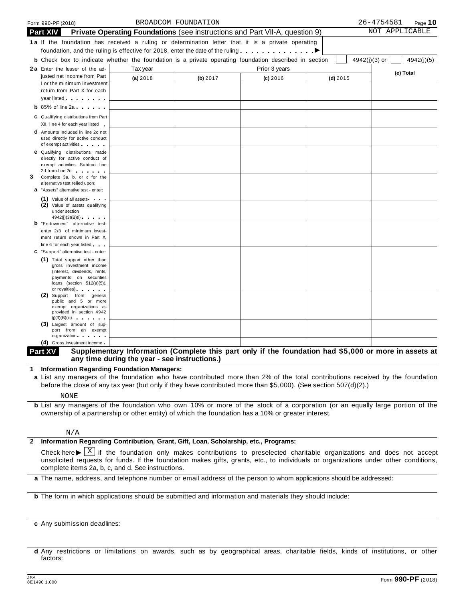|   |                 | Form 990-PF (2018)                                                                                                                                                                                                            |                                                                                                              | BROADCOM FOUNDATION |               |            |               | 26-4754581 | Page 10        |
|---|-----------------|-------------------------------------------------------------------------------------------------------------------------------------------------------------------------------------------------------------------------------|--------------------------------------------------------------------------------------------------------------|---------------------|---------------|------------|---------------|------------|----------------|
|   | <b>Part XIV</b> |                                                                                                                                                                                                                               | <b>Private Operating Foundations</b> (see instructions and Part VII-A, question 9)                           |                     |               |            |               |            | NOT APPLICABLE |
|   |                 |                                                                                                                                                                                                                               | 1a If the foundation has received a ruling or determination letter that it is a private operating            |                     |               |            |               |            |                |
|   |                 |                                                                                                                                                                                                                               | foundation, and the ruling is effective for 2018, enter the date of the ruling $\dots \dots \dots$           |                     |               |            |               |            |                |
|   |                 |                                                                                                                                                                                                                               | <b>b</b> Check box to indicate whether the foundation is a private operating foundation described in section |                     |               |            | 4942(j)(3) or |            | 4942(j)(5)     |
|   |                 | 2a Enter the lesser of the ad-                                                                                                                                                                                                | Tax year                                                                                                     |                     | Prior 3 years |            |               |            |                |
|   |                 | justed net income from Part                                                                                                                                                                                                   | (a) 2018                                                                                                     | (b) 2017            | $(c)$ 2016    | $(d)$ 2015 |               |            | (e) Total      |
|   |                 | I or the minimum investment                                                                                                                                                                                                   |                                                                                                              |                     |               |            |               |            |                |
|   |                 | return from Part X for each                                                                                                                                                                                                   |                                                                                                              |                     |               |            |               |            |                |
|   |                 | year listed and the set of the set of the set of the set of the set of the set of the set of the set of the set of the set of the set of the set of the set of the set of the set of the set of the set of the set of the set |                                                                                                              |                     |               |            |               |            |                |
|   |                 | <b>b</b> 85% of line 2a $\cdots$                                                                                                                                                                                              |                                                                                                              |                     |               |            |               |            |                |
|   |                 | C Qualifying distributions from Part                                                                                                                                                                                          |                                                                                                              |                     |               |            |               |            |                |
|   |                 | XII, line 4 for each year listed                                                                                                                                                                                              |                                                                                                              |                     |               |            |               |            |                |
|   |                 | <b>d</b> Amounts included in line 2c not                                                                                                                                                                                      |                                                                                                              |                     |               |            |               |            |                |
|   |                 | used directly for active conduct<br>of exempt activities                                                                                                                                                                      |                                                                                                              |                     |               |            |               |            |                |
|   |                 | <b>e</b> Qualifying distributions made                                                                                                                                                                                        |                                                                                                              |                     |               |            |               |            |                |
|   |                 | directly for active conduct of                                                                                                                                                                                                |                                                                                                              |                     |               |            |               |            |                |
|   |                 | exempt activities. Subtract line                                                                                                                                                                                              |                                                                                                              |                     |               |            |               |            |                |
| 3 |                 | 2d from line 2c and the state of the state of the state of the state of the state of the state of the state of<br>Complete 3a, b, or c for the                                                                                |                                                                                                              |                     |               |            |               |            |                |
|   |                 | alternative test relied upon:                                                                                                                                                                                                 |                                                                                                              |                     |               |            |               |            |                |
|   |                 | a "Assets" alternative test - enter:                                                                                                                                                                                          |                                                                                                              |                     |               |            |               |            |                |
|   |                 | (1) Value of all assets                                                                                                                                                                                                       |                                                                                                              |                     |               |            |               |            |                |
|   |                 | (2) Value of assets qualifying<br>under section                                                                                                                                                                               |                                                                                                              |                     |               |            |               |            |                |
|   |                 | 4942(j)(3)(B)(i)                                                                                                                                                                                                              |                                                                                                              |                     |               |            |               |            |                |
|   |                 | <b>b</b> "Endowment" alternative test-                                                                                                                                                                                        |                                                                                                              |                     |               |            |               |            |                |
|   |                 | enter 2/3 of minimum invest-                                                                                                                                                                                                  |                                                                                                              |                     |               |            |               |            |                |
|   |                 | ment return shown in Part X,                                                                                                                                                                                                  |                                                                                                              |                     |               |            |               |            |                |
|   |                 | line 6 for each year listed                                                                                                                                                                                                   |                                                                                                              |                     |               |            |               |            |                |
|   |                 | C "Support" alternative test - enter:<br>(1) Total support other than                                                                                                                                                         |                                                                                                              |                     |               |            |               |            |                |
|   |                 | gross investment income                                                                                                                                                                                                       |                                                                                                              |                     |               |            |               |            |                |
|   |                 | (interest, dividends, rents,                                                                                                                                                                                                  |                                                                                                              |                     |               |            |               |            |                |
|   |                 | payments on securities<br>loans (section $512(a)(5)$ ),                                                                                                                                                                       |                                                                                                              |                     |               |            |               |            |                |
|   |                 | or royalties) and the control of the control of                                                                                                                                                                               |                                                                                                              |                     |               |            |               |            |                |
|   |                 | (2) Support from general                                                                                                                                                                                                      |                                                                                                              |                     |               |            |               |            |                |
|   |                 | public and 5 or more<br>exempt organizations as                                                                                                                                                                               |                                                                                                              |                     |               |            |               |            |                |
|   |                 | provided in section 4942                                                                                                                                                                                                      |                                                                                                              |                     |               |            |               |            |                |
|   |                 | (j)(3)(B)(iii)<br>(3) Largest amount of sup-                                                                                                                                                                                  |                                                                                                              |                     |               |            |               |            |                |
|   |                 | port from an exempt                                                                                                                                                                                                           |                                                                                                              |                     |               |            |               |            |                |
|   |                 | organization.                                                                                                                                                                                                                 |                                                                                                              |                     |               |            |               |            |                |
|   |                 | (4) Gross investment income                                                                                                                                                                                                   |                                                                                                              |                     |               |            |               |            |                |

## Part XV Supplementary Information (Complete this part only if the foundation had \$5,000 or more in assets at **any time during the year - see instructions.)**

**1 Information Regarding Foundation Managers:**

**a** List any managers of the foundation who have contributed more than 2% of the total contributions received by the foundation before the close of any tax year (but only if they have contributed more than \$5,000). (See section 507(d)(2).)

NONE

**b** List any managers of the foundation who own 10% or more of the stock of a corporation (or an equally large portion of the ownership of a partnership or other entity) of which the foundation has a 10% or greater interest.

### N/A

## **2 Information Regarding Contribution, Grant, Gift, Loan, Scholarship, etc., Programs:**

Check here  $\blacktriangleright \overline{X}$  if the foundation only makes contributions to preselected charitable organizations and does not accept<br>unsolicited requests for funds. If the foundation makes gifts, grants, etc., to individuals o complete items 2a, b, c, and d. See instructions. X

**a** The name, address, and telephone number or email address of the person to whom applications should be addressed:

**b** The form in which applications should be submitted and information and materials they should include:

**c** Any submission deadlines:

**d** Any restrictions or limitations on awards, such as by geographical areas, charitable fields, kinds of institutions, or other factors: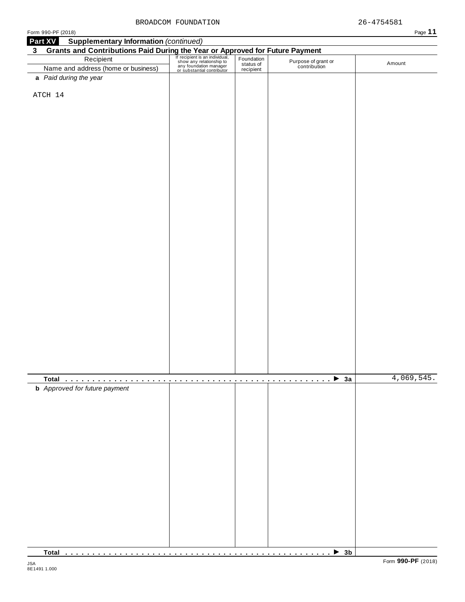| Form 990-PF (2018)                   |                                                                                                                                                                                                                                                                             |  |                                     | Page 11    |
|--------------------------------------|-----------------------------------------------------------------------------------------------------------------------------------------------------------------------------------------------------------------------------------------------------------------------------|--|-------------------------------------|------------|
| Part XV                              | <b>Supplementary Information (continued)</b>                                                                                                                                                                                                                                |  |                                     |            |
| 3 <sup>1</sup>                       |                                                                                                                                                                                                                                                                             |  |                                     |            |
|                                      |                                                                                                                                                                                                                                                                             |  |                                     |            |
|                                      | Grants and Contributions Paid During the Year or Approved for Future Payment<br>Recipient Recipient Recipient San individual, Foundation Purpose of grand<br>Name and address (home or business) and status of the Contribution<br>M<br>Name and address (home or business) |  | Purpose of grant or<br>contribution | Amount     |
| a Paid during the year               |                                                                                                                                                                                                                                                                             |  |                                     |            |
|                                      |                                                                                                                                                                                                                                                                             |  |                                     |            |
| ATCH 14                              |                                                                                                                                                                                                                                                                             |  |                                     |            |
|                                      |                                                                                                                                                                                                                                                                             |  |                                     |            |
|                                      |                                                                                                                                                                                                                                                                             |  |                                     |            |
|                                      |                                                                                                                                                                                                                                                                             |  |                                     |            |
|                                      |                                                                                                                                                                                                                                                                             |  |                                     |            |
|                                      |                                                                                                                                                                                                                                                                             |  |                                     |            |
|                                      |                                                                                                                                                                                                                                                                             |  |                                     |            |
|                                      |                                                                                                                                                                                                                                                                             |  |                                     |            |
|                                      |                                                                                                                                                                                                                                                                             |  |                                     |            |
|                                      |                                                                                                                                                                                                                                                                             |  |                                     |            |
|                                      |                                                                                                                                                                                                                                                                             |  |                                     |            |
|                                      |                                                                                                                                                                                                                                                                             |  |                                     |            |
|                                      |                                                                                                                                                                                                                                                                             |  |                                     |            |
|                                      |                                                                                                                                                                                                                                                                             |  |                                     |            |
|                                      |                                                                                                                                                                                                                                                                             |  |                                     |            |
|                                      |                                                                                                                                                                                                                                                                             |  |                                     |            |
|                                      |                                                                                                                                                                                                                                                                             |  |                                     |            |
|                                      |                                                                                                                                                                                                                                                                             |  |                                     |            |
|                                      |                                                                                                                                                                                                                                                                             |  |                                     |            |
|                                      |                                                                                                                                                                                                                                                                             |  |                                     |            |
|                                      |                                                                                                                                                                                                                                                                             |  |                                     |            |
|                                      |                                                                                                                                                                                                                                                                             |  |                                     |            |
|                                      |                                                                                                                                                                                                                                                                             |  |                                     |            |
|                                      |                                                                                                                                                                                                                                                                             |  |                                     |            |
|                                      |                                                                                                                                                                                                                                                                             |  |                                     |            |
|                                      |                                                                                                                                                                                                                                                                             |  |                                     |            |
|                                      |                                                                                                                                                                                                                                                                             |  |                                     |            |
|                                      |                                                                                                                                                                                                                                                                             |  |                                     |            |
|                                      |                                                                                                                                                                                                                                                                             |  |                                     |            |
|                                      |                                                                                                                                                                                                                                                                             |  |                                     |            |
|                                      |                                                                                                                                                                                                                                                                             |  |                                     |            |
|                                      |                                                                                                                                                                                                                                                                             |  |                                     |            |
|                                      |                                                                                                                                                                                                                                                                             |  |                                     |            |
|                                      |                                                                                                                                                                                                                                                                             |  |                                     |            |
|                                      |                                                                                                                                                                                                                                                                             |  |                                     | 4,069,545. |
| <b>b</b> Approved for future payment |                                                                                                                                                                                                                                                                             |  |                                     |            |
|                                      |                                                                                                                                                                                                                                                                             |  |                                     |            |
|                                      |                                                                                                                                                                                                                                                                             |  |                                     |            |
|                                      |                                                                                                                                                                                                                                                                             |  |                                     |            |
|                                      |                                                                                                                                                                                                                                                                             |  |                                     |            |
|                                      |                                                                                                                                                                                                                                                                             |  |                                     |            |
|                                      |                                                                                                                                                                                                                                                                             |  |                                     |            |
|                                      |                                                                                                                                                                                                                                                                             |  |                                     |            |
|                                      |                                                                                                                                                                                                                                                                             |  |                                     |            |
|                                      |                                                                                                                                                                                                                                                                             |  |                                     |            |
|                                      |                                                                                                                                                                                                                                                                             |  |                                     |            |
|                                      |                                                                                                                                                                                                                                                                             |  |                                     |            |
|                                      |                                                                                                                                                                                                                                                                             |  |                                     |            |
|                                      |                                                                                                                                                                                                                                                                             |  |                                     |            |
|                                      |                                                                                                                                                                                                                                                                             |  |                                     |            |
|                                      |                                                                                                                                                                                                                                                                             |  |                                     |            |
|                                      |                                                                                                                                                                                                                                                                             |  |                                     |            |
|                                      |                                                                                                                                                                                                                                                                             |  |                                     |            |
|                                      |                                                                                                                                                                                                                                                                             |  |                                     |            |
|                                      |                                                                                                                                                                                                                                                                             |  |                                     |            |

**Total** m m m m m m m m m m m m m m m m m m m m m m m m m m m m m m m m m m m m m m m m m m m m m m m m m I **3b**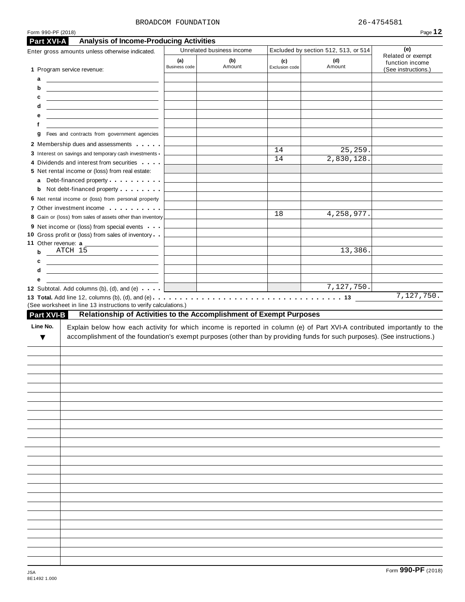### BROADCOM FOUNDATION 26-4754581

**(a)** Business code

Enter gross amounts unless otherwise indicated. Unrelated business income Excluded by section 512, 513, or 514

**(b)** Amount **(c)**

|             | 5 Net rental income or (loss) from real estate:                                                                                                                                                                                      |    |              |                    |
|-------------|--------------------------------------------------------------------------------------------------------------------------------------------------------------------------------------------------------------------------------------|----|--------------|--------------------|
|             | a Debt-financed property                                                                                                                                                                                                             |    |              |                    |
|             | <b>b</b> Not debt-financed property <b>contains the State of State Inc.</b>                                                                                                                                                          |    |              |                    |
|             | 6 Net rental income or (loss) from personal property                                                                                                                                                                                 |    |              |                    |
|             | 7 Other investment income                                                                                                                                                                                                            |    |              |                    |
|             | 8 Gain or (loss) from sales of assets other than inventory                                                                                                                                                                           | 18 | 4, 258, 977. |                    |
|             | 9 Net income or (loss) from special events                                                                                                                                                                                           |    |              |                    |
|             | 10 Gross profit or (loss) from sales of inventory                                                                                                                                                                                    |    |              |                    |
|             |                                                                                                                                                                                                                                      |    |              |                    |
| $\mathbf b$ | $ATCH$ 15                                                                                                                                                                                                                            |    | 13,386.      |                    |
| c           | <u> 1989 - Johann Harry Harry Harry Harry Harry Harry Harry Harry Harry Harry Harry Harry Harry Harry Harry Harry Harry Harry Harry Harry Harry Harry Harry Harry Harry Harry Harry Harry Harry Harry Harry Harry Harry Harry Ha</u> |    |              |                    |
| d           | <u> 1989 - Johann Barn, fransk politik amerikansk politik (</u>                                                                                                                                                                      |    |              |                    |
| е           |                                                                                                                                                                                                                                      |    |              |                    |
|             | 12 Subtotal. Add columns (b), (d), and (e)                                                                                                                                                                                           |    | 7,127,750.   |                    |
|             |                                                                                                                                                                                                                                      |    |              | 7,127,750.         |
|             | (See worksheet in line 13 instructions to verify calculations.)                                                                                                                                                                      |    |              |                    |
| Part XVI-B  | Relationship of Activities to the Accomplishment of Exempt Purposes                                                                                                                                                                  |    |              |                    |
|             |                                                                                                                                                                                                                                      |    |              |                    |
|             |                                                                                                                                                                                                                                      |    |              |                    |
|             |                                                                                                                                                                                                                                      |    |              |                    |
|             |                                                                                                                                                                                                                                      |    |              |                    |
|             |                                                                                                                                                                                                                                      |    |              |                    |
|             |                                                                                                                                                                                                                                      |    |              |                    |
|             |                                                                                                                                                                                                                                      |    |              |                    |
|             |                                                                                                                                                                                                                                      |    |              |                    |
|             |                                                                                                                                                                                                                                      |    |              |                    |
|             |                                                                                                                                                                                                                                      |    |              |                    |
|             |                                                                                                                                                                                                                                      |    |              |                    |
|             |                                                                                                                                                                                                                                      |    |              |                    |
|             |                                                                                                                                                                                                                                      |    |              |                    |
|             |                                                                                                                                                                                                                                      |    |              |                    |
|             |                                                                                                                                                                                                                                      |    |              |                    |
|             |                                                                                                                                                                                                                                      |    |              |                    |
|             |                                                                                                                                                                                                                                      |    |              |                    |
|             |                                                                                                                                                                                                                                      |    |              |                    |
|             |                                                                                                                                                                                                                                      |    |              |                    |
|             |                                                                                                                                                                                                                                      |    |              |                    |
|             |                                                                                                                                                                                                                                      |    |              |                    |
|             |                                                                                                                                                                                                                                      |    |              |                    |
|             |                                                                                                                                                                                                                                      |    |              |                    |
|             |                                                                                                                                                                                                                                      |    |              | Form 990-PF (2018) |
|             |                                                                                                                                                                                                                                      |    |              |                    |

**Part XVI-A Analysis of Income-Producing Activities**

**g** Fees and contracts from government agencies Membership dues and assessments **manual**  Interest on savings and temporary cash investments Dividends and interest from securities **manual** 

1 Program service revenue:

**ab**

c<sub>c</sub> **e f**

**(d)** Amount

14 25,259. 14 2,830,128.

**(e)** Related or exempt function income (See instructions.)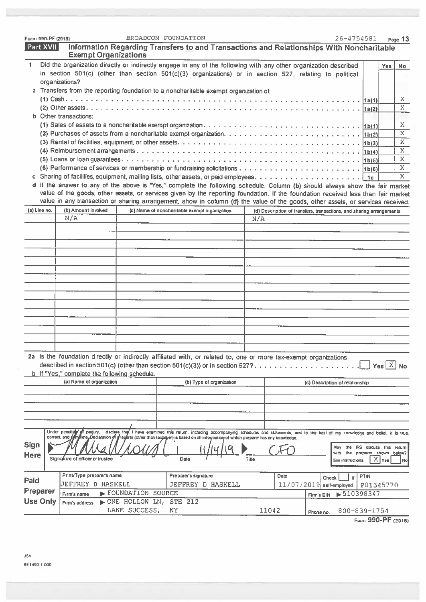| Form 990-PF (2018) |                                                                                                                                                                                                                                               |                                                                                                                                                               | BROADCOM FOUNDATION                           |                          |       |                                                                      |            | 26-4754581                      |             |                    | Page 13      |
|--------------------|-----------------------------------------------------------------------------------------------------------------------------------------------------------------------------------------------------------------------------------------------|---------------------------------------------------------------------------------------------------------------------------------------------------------------|-----------------------------------------------|--------------------------|-------|----------------------------------------------------------------------|------------|---------------------------------|-------------|--------------------|--------------|
| Part XVII          |                                                                                                                                                                                                                                               | Information Regarding Transfers to and Transactions and Relationships With Noncharitable<br><b>Exempt Organizations</b>                                       |                                               |                          |       |                                                                      |            |                                 |             |                    |              |
| $\mathbf 1$        | Did the organization directly or indirectly engage in any of the following with any other organization described<br>in section 501(c) (other than section 501(c)(3) organizations) or in section 527, relating to political<br>organizations? |                                                                                                                                                               |                                               |                          |       |                                                                      |            |                                 |             | Yes                | <b>No</b>    |
|                    | a Transfers from the reporting foundation to a noncharitable exempt organization of:                                                                                                                                                          |                                                                                                                                                               |                                               |                          |       |                                                                      |            |                                 |             |                    |              |
|                    |                                                                                                                                                                                                                                               |                                                                                                                                                               |                                               |                          |       |                                                                      |            |                                 |             |                    | X.           |
|                    | <b>b</b> Other transactions:                                                                                                                                                                                                                  |                                                                                                                                                               |                                               |                          |       |                                                                      |            |                                 |             |                    | X            |
|                    |                                                                                                                                                                                                                                               |                                                                                                                                                               |                                               |                          |       |                                                                      |            |                                 |             |                    | X            |
|                    |                                                                                                                                                                                                                                               |                                                                                                                                                               |                                               |                          |       |                                                                      |            |                                 |             |                    | X.           |
|                    |                                                                                                                                                                                                                                               |                                                                                                                                                               |                                               |                          |       |                                                                      |            |                                 |             |                    | $\mathbf{x}$ |
|                    |                                                                                                                                                                                                                                               |                                                                                                                                                               |                                               |                          |       |                                                                      |            |                                 |             |                    | X.           |
|                    |                                                                                                                                                                                                                                               |                                                                                                                                                               |                                               |                          |       |                                                                      |            |                                 |             |                    | X.           |
|                    |                                                                                                                                                                                                                                               |                                                                                                                                                               |                                               |                          |       |                                                                      |            |                                 |             |                    | X            |
|                    | d If the answer to any of the above is "Yes," complete the following schedule. Column (b) should always show the fair market                                                                                                                  |                                                                                                                                                               |                                               |                          |       |                                                                      |            |                                 |             |                    | Х.           |
|                    | value of the goods, other assets, or services given by the reporting foundation. If the foundation received less than fair market                                                                                                             |                                                                                                                                                               |                                               |                          |       |                                                                      |            |                                 |             |                    |              |
|                    | value in any transaction or sharing arrangement, show in column (d) the value of the goods, other assets, or services received.                                                                                                               |                                                                                                                                                               |                                               |                          |       |                                                                      |            |                                 |             |                    |              |
| (a) Line no.       | (b) Amount involved                                                                                                                                                                                                                           |                                                                                                                                                               | (c) Name of noncharitable exempt organization |                          |       | (d) Description of transfers, transactions, and sharing arrangements |            |                                 |             |                    |              |
|                    | N/A                                                                                                                                                                                                                                           |                                                                                                                                                               |                                               |                          | N/A   |                                                                      |            |                                 |             |                    |              |
|                    |                                                                                                                                                                                                                                               |                                                                                                                                                               |                                               |                          |       |                                                                      |            |                                 |             |                    |              |
|                    |                                                                                                                                                                                                                                               |                                                                                                                                                               |                                               |                          |       |                                                                      |            |                                 |             |                    |              |
|                    |                                                                                                                                                                                                                                               |                                                                                                                                                               |                                               |                          |       |                                                                      |            |                                 |             |                    |              |
|                    |                                                                                                                                                                                                                                               |                                                                                                                                                               |                                               |                          |       |                                                                      |            |                                 |             |                    |              |
|                    |                                                                                                                                                                                                                                               |                                                                                                                                                               |                                               |                          |       |                                                                      |            |                                 |             |                    |              |
|                    |                                                                                                                                                                                                                                               |                                                                                                                                                               |                                               |                          |       |                                                                      |            |                                 |             |                    |              |
|                    |                                                                                                                                                                                                                                               |                                                                                                                                                               |                                               |                          |       |                                                                      |            |                                 |             |                    |              |
|                    |                                                                                                                                                                                                                                               |                                                                                                                                                               |                                               |                          |       |                                                                      |            |                                 |             |                    |              |
|                    |                                                                                                                                                                                                                                               |                                                                                                                                                               |                                               |                          |       |                                                                      |            |                                 |             |                    |              |
|                    |                                                                                                                                                                                                                                               |                                                                                                                                                               |                                               |                          |       |                                                                      |            |                                 |             |                    |              |
|                    |                                                                                                                                                                                                                                               |                                                                                                                                                               |                                               |                          |       |                                                                      |            |                                 |             |                    |              |
|                    |                                                                                                                                                                                                                                               |                                                                                                                                                               |                                               |                          |       |                                                                      |            |                                 |             |                    |              |
|                    |                                                                                                                                                                                                                                               |                                                                                                                                                               |                                               |                          |       |                                                                      |            |                                 |             |                    |              |
|                    | 2a Is the foundation directly or indirectly affiliated with, or related to, one or more tax-exempt organizations                                                                                                                              |                                                                                                                                                               |                                               |                          |       |                                                                      |            |                                 |             |                    |              |
|                    | described in section 501(c) (other than section 501(c)(3)) or in section 527?                                                                                                                                                                 |                                                                                                                                                               |                                               |                          |       |                                                                      |            |                                 |             | $Yes \boxed{X} No$ |              |
|                    | b If "Yes," complete the following schedule.                                                                                                                                                                                                  |                                                                                                                                                               |                                               |                          |       |                                                                      |            |                                 |             |                    |              |
|                    | (a) Name of organization                                                                                                                                                                                                                      |                                                                                                                                                               |                                               | (b) Type of organization |       |                                                                      |            | (c) Description of relationship |             |                    |              |
|                    |                                                                                                                                                                                                                                               |                                                                                                                                                               |                                               |                          |       |                                                                      |            |                                 |             |                    |              |
|                    |                                                                                                                                                                                                                                               |                                                                                                                                                               |                                               |                          |       |                                                                      |            |                                 |             |                    |              |
|                    |                                                                                                                                                                                                                                               |                                                                                                                                                               |                                               |                          |       |                                                                      |            |                                 |             |                    |              |
|                    |                                                                                                                                                                                                                                               |                                                                                                                                                               |                                               |                          |       |                                                                      |            |                                 |             |                    |              |
|                    | Under penaltide<br>correct, and <b>{∕m∫lete,Declaration of ∦reparer (</b> other than taxpayer) is based on all information of which preparer has any kilowledge.                                                                              | perjury, I declare that I have examined this return, including accompanying schedules and statements, and to the best of my knowledge and belief, it is true. |                                               |                          |       |                                                                      |            |                                 |             |                    |              |
| Sign               |                                                                                                                                                                                                                                               |                                                                                                                                                               |                                               |                          |       |                                                                      |            | the IRS discuss this return     |             |                    |              |
| <b>Here</b>        | Signature of officer or trustee                                                                                                                                                                                                               |                                                                                                                                                               |                                               |                          |       |                                                                      |            | with the preparer shown below?  |             |                    |              |
|                    |                                                                                                                                                                                                                                               |                                                                                                                                                               | Date                                          |                          | Title |                                                                      |            | See instructions.               |             | $X$ $\gamma$ es    | <b>No</b>    |
|                    | Print/Type preparer's name                                                                                                                                                                                                                    |                                                                                                                                                               | Preparer's signature                          |                          |       | Date                                                                 |            | if<br>Check                     | <b>PTIN</b> |                    |              |
| Paid               | JEFFREY D HASKELL                                                                                                                                                                                                                             |                                                                                                                                                               |                                               | JEFFREY D HASKELL        |       | 11/07/2019 self-employed                                             |            |                                 | P01345770   |                    |              |
| Preparer           | Firm's name                                                                                                                                                                                                                                   | FOUNDATION SOURCE                                                                                                                                             |                                               |                          |       |                                                                      | Firm's EIN | ▶ 510398347                     |             |                    |              |
| <b>Use Only</b>    | Firm's address                                                                                                                                                                                                                                | NONE HOLLOW LN, STE 212                                                                                                                                       |                                               |                          |       |                                                                      |            |                                 |             |                    |              |
|                    |                                                                                                                                                                                                                                               | LAKE SUCCESS,                                                                                                                                                 | NY.                                           |                          |       | 11042                                                                | Phone no.  | 800-839-1754                    |             |                    |              |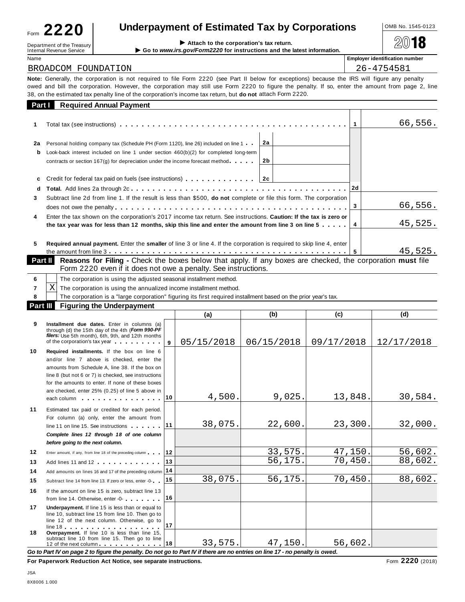| Form | ົາ 20<br>LLL                 |  |
|------|------------------------------|--|
|      | Department of the Treasury I |  |

Name **Employer identification number**

# **Underpayment of Estimated Tax by Corporations**  $\frac{10MB No. 1545-0123}{10}$

| BROADCOM FOUNDATION |  |
|---------------------|--|

 $Department of the Treasury  
International Revenue Service  
Meanal Review Service$ 

26-4754581

**Note:** Generally, the corporation is not required to file Form 2220 (see Part II below for exceptions) because the IRS will figure any penalty owed and bill the corporation. However, the corporation may still use Form 2220 to figure the penalty. If so, enter the amount from page 2, line 38, on the estimated tax penalty line of the corporation's income tax return, but **do not** attach Form 2220.

| <b>Part Required Annual Payment</b>                                                                                                                                                                                                   |          |                                                                                         |                                                                                                                                                                                                                                                                                                                                                                                          |  |  |
|---------------------------------------------------------------------------------------------------------------------------------------------------------------------------------------------------------------------------------------|----------|-----------------------------------------------------------------------------------------|------------------------------------------------------------------------------------------------------------------------------------------------------------------------------------------------------------------------------------------------------------------------------------------------------------------------------------------------------------------------------------------|--|--|
|                                                                                                                                                                                                                                       |          |                                                                                         | 66,556.                                                                                                                                                                                                                                                                                                                                                                                  |  |  |
| Personal holding company tax (Schedule PH (Form 1120), line 26) included on line 1<br>contracts or section $167(g)$ for depreciation under the income forecast method $\cdots$ .                                                      | 2a<br>2b |                                                                                         |                                                                                                                                                                                                                                                                                                                                                                                          |  |  |
|                                                                                                                                                                                                                                       |          |                                                                                         |                                                                                                                                                                                                                                                                                                                                                                                          |  |  |
| d<br>Subtract line 2d from line 1. If the result is less than \$500, <b>do not</b> complete or file this form. The corporation<br>3                                                                                                   |          |                                                                                         |                                                                                                                                                                                                                                                                                                                                                                                          |  |  |
| Enter the tax shown on the corporation's 2017 income tax return. See instructions. Caution: If the tax is zero or<br>4<br>the tax year was for less than 12 months, skip this line and enter the amount from line 3 on line 5 $\dots$ |          |                                                                                         |                                                                                                                                                                                                                                                                                                                                                                                          |  |  |
|                                                                                                                                                                                                                                       |          | 5                                                                                       | 45,525.                                                                                                                                                                                                                                                                                                                                                                                  |  |  |
|                                                                                                                                                                                                                                       |          | Look-back interest included on line 1 under section $460(b)(2)$ for completed long-term | Total tax (see instructions) $\ldots \ldots \ldots \ldots \ldots \ldots \ldots \ldots \ldots \ldots \ldots \ldots \ldots$<br>3<br><b>Required annual payment.</b> Enter the <b>smaller</b> of line 3 or line 4. If the corporation is required to skip line 4, enter<br><b>Research for Filipp - Chack the hoves helpw that apply If any hoves are chacked the corporation must file</b> |  |  |

| <b>Part II</b> Reasons for Filing - Check the boxes below that apply. If any boxes are checked, the corporation must file |  |
|---------------------------------------------------------------------------------------------------------------------------|--|
| Form 2220 even if it does not owe a penalty. See instructions.                                                            |  |

|          |   | The corporation is using the adjusted seasonal installment method.                                              |        |              |        |        |  |  |  |  |
|----------|---|-----------------------------------------------------------------------------------------------------------------|--------|--------------|--------|--------|--|--|--|--|
|          | Χ | The corporation is using the annualized income installment method.                                              |        |              |        |        |  |  |  |  |
|          |   | The corporation is a "large corporation" figuring its first required installment based on the prior year's tax. |        |              |        |        |  |  |  |  |
| Part III |   | <b>Figuring the Underpayment</b>                                                                                |        |              |        |        |  |  |  |  |
|          |   |                                                                                                                 | $\sim$ | $\mathbf{H}$ | $\sim$ | $\sim$ |  |  |  |  |

|    |                                                                                                                                                                                                                                                                                                                                                                                                                                                                                                                                              |     | (a)        | (b)        | (c)        | (d)        |
|----|----------------------------------------------------------------------------------------------------------------------------------------------------------------------------------------------------------------------------------------------------------------------------------------------------------------------------------------------------------------------------------------------------------------------------------------------------------------------------------------------------------------------------------------------|-----|------------|------------|------------|------------|
| 9  | Installment due dates. Enter in columns (a)<br>through (d) the 15th day of the 4th (Form 990-PF<br>filers: Use 5th month), 6th, 9th, and 12th months<br>of the corporation's tax year and the corporation's tax year.                                                                                                                                                                                                                                                                                                                        | 9   | 05/15/2018 | 06/15/2018 | 09/17/2018 | 12/17/2018 |
| 10 | Required installments. If the box on line 6<br>and/or line 7 above is checked, enter the<br>amounts from Schedule A, line 38. If the box on<br>line 8 (but not 6 or 7) is checked, see instructions<br>for the amounts to enter. If none of these boxes<br>are checked, enter 25% (0.25) of line 5 above in<br>each column experience and the set of the set of the set of the set of the set of the set of the set of the set of the set of the set of the set of the set of the set of the set of the set of the set of the set of the set | 10. | 4,500.     | 9,025.     | 13,848.    | 30,584.    |
| 11 | Estimated tax paid or credited for each period.<br>For column (a) only, enter the amount from<br>line 11 on line 15. See instructions<br>Complete lines 12 through 18 of one column<br>before going to the next column.                                                                                                                                                                                                                                                                                                                      | 11  | 38,075.    | 22,600.    | 23,300.    | 32,000.    |
| 12 | Enter amount, if any, from line 18 of the preceding column                                                                                                                                                                                                                                                                                                                                                                                                                                                                                   | 12  |            | 33,575.    | 47,150.    | 56,602.    |
| 13 | Add lines 11 and 12                                                                                                                                                                                                                                                                                                                                                                                                                                                                                                                          | 13  |            | 56,175.    | 70,450.    | 88,602.    |
| 14 | Add amounts on lines 16 and 17 of the preceding column 14                                                                                                                                                                                                                                                                                                                                                                                                                                                                                    |     |            |            |            |            |
| 15 | Subtract line 14 from line 13. If zero or less, enter -0-                                                                                                                                                                                                                                                                                                                                                                                                                                                                                    | 15  | 38,075.    | 56, 175.   | 70,450.    | 88,602.    |
| 16 | If the amount on line 15 is zero, subtract line 13<br>from line 14. Otherwise, enter -0-                                                                                                                                                                                                                                                                                                                                                                                                                                                     | 16  |            |            |            |            |
| 17 | Underpayment. If line 15 is less than or equal to<br>line 10, subtract line 15 from line 10. Then go to<br>line 12 of the next column. Otherwise, go to                                                                                                                                                                                                                                                                                                                                                                                      | 17  |            |            |            |            |
| 18 | Overpayment. If line 10 is less than line 15,<br>subtract line 10 from line 15. Then go to line<br>12 of the next column external part of the next column and the state of the state of the state of the state of                                                                                                                                                                                                                                                                                                                            | ∣18 | 33,575.    | 47,150.    | 56,602.    |            |

Go to Part IV on page 2 to figure the penalty. Do not go to Part IV if there are no entries on line 17 - no penalty is owed.

**For Paperwork Reduction Act Notice, see separate instructions.** Form **2220** (2018)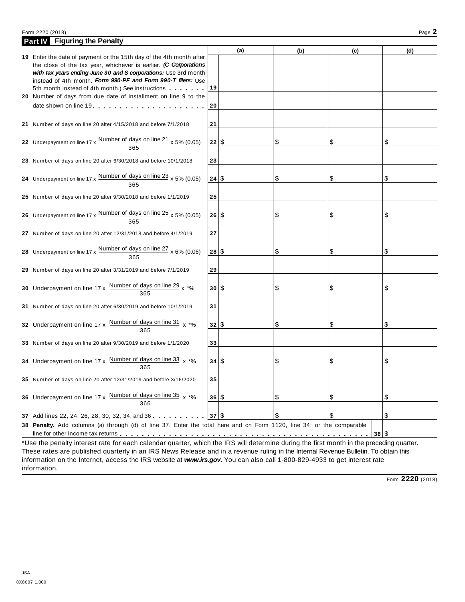### Form <sup>2220</sup> (2018) Page **2**

| <b>Part IV</b> Figuring the Penalty                                                                                                     |          |     |     |      |     |
|-----------------------------------------------------------------------------------------------------------------------------------------|----------|-----|-----|------|-----|
|                                                                                                                                         |          | (a) | (b) | (c)  | (d) |
| 19 Enter the date of payment or the 15th day of the 4th month after<br>the close of the tax year, whichever is earlier. (C Corporations |          |     |     |      |     |
| with tax years ending June 30 and S corporations: Use 3rd month                                                                         |          |     |     |      |     |
| instead of 4th month. Form 990-PF and Form 990-T filers: Use                                                                            |          |     |     |      |     |
| 5th month instead of 4th month.) See instructions                                                                                       | 19       |     |     |      |     |
| 20 Number of days from due date of installment on line 9 to the                                                                         |          |     |     |      |     |
|                                                                                                                                         | 20       |     |     |      |     |
|                                                                                                                                         |          |     |     |      |     |
| 21 Number of days on line 20 after 4/15/2018 and before 7/1/2018                                                                        | 21       |     |     |      |     |
|                                                                                                                                         |          |     |     |      |     |
| 22 Underpayment on line $17 \times \frac{\text{Number of days on line 21}}{365} \times 5\% (0.05)$                                      | 22 S     |     | \$  | \$   | \$  |
|                                                                                                                                         |          |     |     |      |     |
| 23 Number of days on line 20 after 6/30/2018 and before 10/1/2018                                                                       | 23       |     |     |      |     |
| 24 Underpayment on line 17 x $\frac{\text{Number of days on line 23}}{205}$ x 5% (0.05)                                                 | 24 S     |     | \$  | \$   | \$  |
| 365                                                                                                                                     |          |     |     |      |     |
| 25 Number of days on line 20 after 9/30/2018 and before 1/1/2019                                                                        | 25       |     |     |      |     |
|                                                                                                                                         |          |     |     |      |     |
| 26 Underpayment on line 17 x $\frac{\text{Number of days on line 25}}{\text{m}}$ x 5% (0.05)                                            | 26 S     |     | \$  | \$   | \$  |
| 365                                                                                                                                     |          |     |     |      |     |
| 27 Number of days on line 20 after 12/31/2018 and before 4/1/2019                                                                       | 27       |     |     |      |     |
|                                                                                                                                         |          |     |     |      |     |
| 28 Underpayment on line $17 \times \frac{\text{Number of days on line } 27}{365} \times 6\% (0.06)$                                     | 28 S     |     | \$  | \$   | \$  |
|                                                                                                                                         |          |     |     |      |     |
| 29 Number of days on line 20 after 3/31/2019 and before 7/1/2019                                                                        | 29       |     |     |      |     |
|                                                                                                                                         |          |     |     |      |     |
| 30 Underpayment on line $17 \times \frac{\text{Number of days on line 29}}{365} \times \frac{1}{100}$                                   | $30^{8}$ |     | \$  | \$   | \$  |
|                                                                                                                                         |          |     |     |      |     |
| 31 Number of days on line 20 after 6/30/2019 and before 10/1/2019                                                                       | 31       |     |     |      |     |
|                                                                                                                                         |          |     |     |      |     |
| 32 Underpayment on line 17 x Number of days on line 31 x *%<br>365                                                                      | 32 S     |     | \$  | \$   | \$  |
|                                                                                                                                         |          |     |     |      |     |
| 33 Number of days on line 20 after 9/30/2019 and before 1/1/2020                                                                        | 33       |     |     |      |     |
| 34 Underpayment on line 17 x Number of days on line 33 x *%                                                                             | 34   \$  |     | \$  | \$   | \$  |
| 365                                                                                                                                     |          |     |     |      |     |
| 35 Number of days on line 20 after 12/31/2019 and before 3/16/2020                                                                      | 35       |     |     |      |     |
|                                                                                                                                         |          |     |     |      |     |
| 36 Underpayment on line 17 x Number of days on line 35 x *%                                                                             | 36 S     |     | \$  | \$   | \$  |
|                                                                                                                                         |          |     |     |      |     |
| 37 Add lines 22, 24, 26, 28, 30, 32, 34, and 36                                                                                         | 37 S     |     | \$  | \$   | \$  |
| 38 Penalty. Add columns (a) through (d) of line 37. Enter the total here and on Form 1120, line 34; or the comparable                   |          |     |     |      |     |
|                                                                                                                                         |          |     |     | 38 S |     |
| *Use the penalty interest rate for each calendar quarter, which the IRS will determine during the first month in the preceding quarter. |          |     |     |      |     |

\*Use the penalty interest rate for each calendar quarter, which the IRS will determine during the first month in the preceding quarter. These rates are published quarterly in an IRS News Release and in a revenue ruling in the Internal Revenue Bulletin. To obtain this information on the Internet, access the IRS website at *www.irs.gov***.** You can also call 1-800-829-4933 to get interest rate information.

Form **2220** (2018)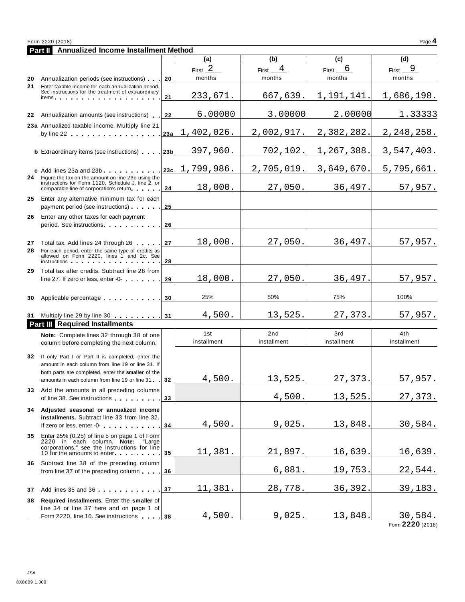|    | <b>Part II</b> Annualized Income Installment Method                                                                                                                                                                            |        |             |                              |             |                |
|----|--------------------------------------------------------------------------------------------------------------------------------------------------------------------------------------------------------------------------------|--------|-------------|------------------------------|-------------|----------------|
|    |                                                                                                                                                                                                                                |        | (a)         | (b)                          | (c)         | (d)            |
|    |                                                                                                                                                                                                                                |        | First $2$   | $\overline{4}$<br>First $\_$ | 6<br>First_ | 9<br>First_    |
| 20 | Annualization periods (see instructions)                                                                                                                                                                                       | 20     | months      | months                       | months      | months         |
| 21 | Enter taxable income for each annualization period.<br>See instructions for the treatment of extraordinary                                                                                                                     |        |             |                              |             |                |
|    | items.                                                                                                                                                                                                                         | 21     | 233,671.    | 667,639.                     | 1,191,141.  | 1,686,198.     |
|    | 22 Annualization amounts (see instructions)                                                                                                                                                                                    | 22     | 6.00000     | 3.00000                      | 2.00000     | 1.33333        |
|    | 23a Annualized taxable income. Multiply line 21                                                                                                                                                                                |        |             |                              |             |                |
|    |                                                                                                                                                                                                                                | ∣23a ∣ | 1,402,026.  | 2,002,917.                   | 2,382,282.  | 2, 248, 258.   |
|    |                                                                                                                                                                                                                                |        |             |                              |             |                |
|    | <b>b</b> Extraordinary items (see instructions) 23b                                                                                                                                                                            |        | 397,960.    | 702,102.                     | 1,267,388.  | 3,547,403.     |
|    |                                                                                                                                                                                                                                | 23c    | 1,799,986.  | 2,705,019.                   | 3,649,670.  | 5,795,661.     |
|    | c Add lines 23a and 23b<br>24 Figure the tax on the amount on line 23c using the                                                                                                                                               |        |             |                              |             |                |
|    | instructions for Form 1120, Schedule J, line 2, or<br>comparable line of corporation's return                                                                                                                                  | 24     | 18,000.     | 27,050.                      | 36,497.     | 57,957.        |
| 25 | Enter any alternative minimum tax for each                                                                                                                                                                                     |        |             |                              |             |                |
|    | payment period (see instructions)                                                                                                                                                                                              | 25     |             |                              |             |                |
| 26 | Enter any other taxes for each payment                                                                                                                                                                                         |        |             |                              |             |                |
|    | period. See instructions experience and the set of the set of the set of the set of the set of the set of the set of the set of the set of the set of the set of the set of the set of the set of the set of the set of the se | 26     |             |                              |             |                |
|    |                                                                                                                                                                                                                                |        |             |                              |             |                |
| 27 | Total tax. Add lines 24 through 26                                                                                                                                                                                             | 27     | 18,000.     | 27,050.                      | 36,497.     | 57,957.        |
| 28 | For each period, enter the same type of credits as<br>allowed on Form 2220, lines 1 and 2c. See                                                                                                                                |        |             |                              |             |                |
|    | instructions in the contract of the contract of the contract of the contract of the contract of the contract o                                                                                                                 | 28     |             |                              |             |                |
| 29 | Total tax after credits. Subtract line 28 from                                                                                                                                                                                 |        | 18,000.     | 27,050.                      | 36,497.     | 57,957.        |
|    | line 27. If zero or less, enter -0-                                                                                                                                                                                            | 29     |             |                              |             |                |
| 30 | Applicable percentage                                                                                                                                                                                                          | 30     | 25%         | 50%                          | 75%         | 100%           |
|    |                                                                                                                                                                                                                                |        |             |                              |             |                |
|    | 31 Multiply line 29 by line 30 31                                                                                                                                                                                              |        | 4,500.      | 13,525.                      | 27,373.     | 57,957.        |
|    | <b>Part III</b> Required Installments                                                                                                                                                                                          |        |             |                              |             |                |
|    | Note: Complete lines 32 through 38 of one                                                                                                                                                                                      |        | 1st         | 2nd                          | 3rd         | 4th            |
|    | column before completing the next column.                                                                                                                                                                                      |        | installment | installment                  | installment | installment    |
| 32 | If only Part I or Part II is completed, enter the                                                                                                                                                                              |        |             |                              |             |                |
|    | amount in each column from line 19 or line 31. If                                                                                                                                                                              |        |             |                              |             |                |
|    | both parts are completed, enter the smaller of the                                                                                                                                                                             |        |             |                              |             |                |
|    | amounts in each column from line 19 or line 31                                                                                                                                                                                 | 32     | 4,500.      | 13,525.                      | 27,373.     | 57,957.        |
| 33 | Add the amounts in all preceding columns<br>of line 38. See instructions                                                                                                                                                       | 33     |             | 4,500.                       | 13,525      | 27,373.        |
|    |                                                                                                                                                                                                                                |        |             |                              |             |                |
|    | 34 Adjusted seasonal or annualized income<br>installments. Subtract line 33 from line 32.                                                                                                                                      |        |             |                              |             |                |
|    | If zero or less, enter -0-                                                                                                                                                                                                     | 34     | 4,500.      | 9,025                        | 13,848      | 30,584.        |
| 35 | Enter 25% (0.25) of line 5 on page 1 of Form                                                                                                                                                                                   |        |             |                              |             |                |
|    | 2220 in each column. Note: "Large<br>corporations," see the instructions for line                                                                                                                                              |        |             |                              |             |                |
|    | 10 for the amounts to enter                                                                                                                                                                                                    | 35     | 11,381.     | 21,897.                      | 16,639      | 16,639.        |
|    | 36 Subtract line 38 of the preceding column                                                                                                                                                                                    |        |             |                              |             |                |
|    | from line 37 of the preceding column                                                                                                                                                                                           | 36     |             | 6,881                        | 19,753.     | 22,544.        |
|    |                                                                                                                                                                                                                                |        | 11,381.     | 28,778.                      | 36, 392.    | 39,183.        |
|    | 37 Add lines 35 and 36                                                                                                                                                                                                         | 37     |             |                              |             |                |
| 38 | Required installments. Enter the smaller of<br>line 34 or line 37 here and on page 1 of                                                                                                                                        |        |             |                              |             |                |
|    | Form 2220, line 10. See instructions 38                                                                                                                                                                                        |        | 4,500.      | 9,025.                       | 13,848.     | <u>30,584.</u> |
|    |                                                                                                                                                                                                                                |        |             |                              |             |                |

Form **2220** (2018)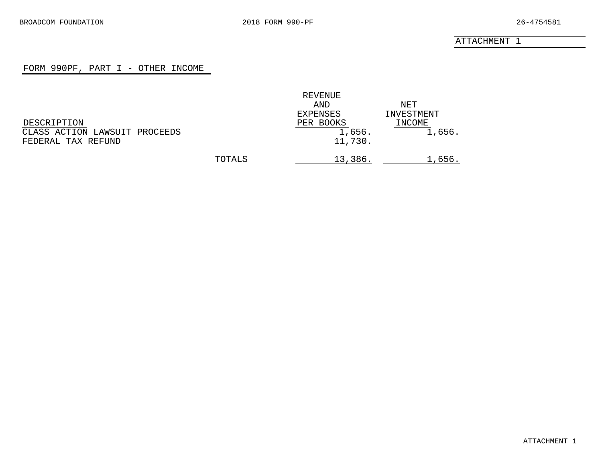# FORM 990PF, PART I - OTHER INCOME

<span id="page-16-0"></span>

|                               |        | REVENUE   |            |
|-------------------------------|--------|-----------|------------|
|                               |        | AND       | NET        |
|                               |        | EXPENSES  | INVESTMENT |
| DESCRIPTION                   |        | PER BOOKS | INCOME     |
| CLASS ACTION LAWSUIT PROCEEDS |        | 1,656.    | 1,656.     |
| FEDERAL TAX REFUND            |        | 11,730.   |            |
|                               |        |           |            |
|                               | TOTALS | 13,386.   | 1,656      |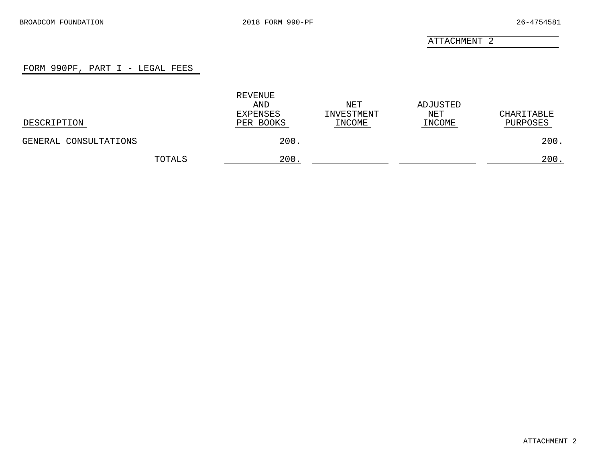# FORM 990PF, PART I - LEGAL FEES

<span id="page-17-0"></span>

| DESCRIPTION           | REVENUE<br>AND<br>EXPENSES<br>PER BOOKS | NET<br>INVESTMENT<br>INCOME | ADJUSTED<br>NET<br>INCOME | CHARITABLE<br>PURPOSES |
|-----------------------|-----------------------------------------|-----------------------------|---------------------------|------------------------|
| GENERAL CONSULTATIONS | 200.                                    |                             |                           | 200.                   |
| TOTALS                | 200                                     |                             |                           | 200.                   |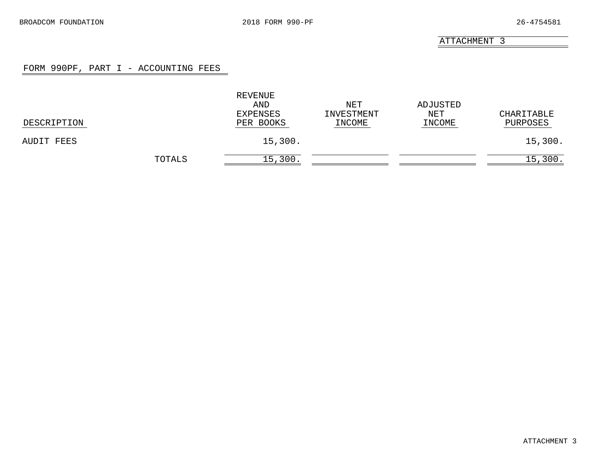# FORM 990PF, PART I - ACCOUNTING FEES

<span id="page-18-0"></span>

| DESCRIPTION |        | REVENUE<br>AND<br>EXPENSES<br>PER BOOKS | NET<br>INVESTMENT<br>INCOME | ADJUSTED<br>NET<br>INCOME | CHARITABLE<br>PURPOSES |
|-------------|--------|-----------------------------------------|-----------------------------|---------------------------|------------------------|
| AUDIT FEES  |        | 15,300.                                 |                             |                           | 15,300.                |
|             | TOTALS | 15,300.                                 |                             |                           | 15,300.                |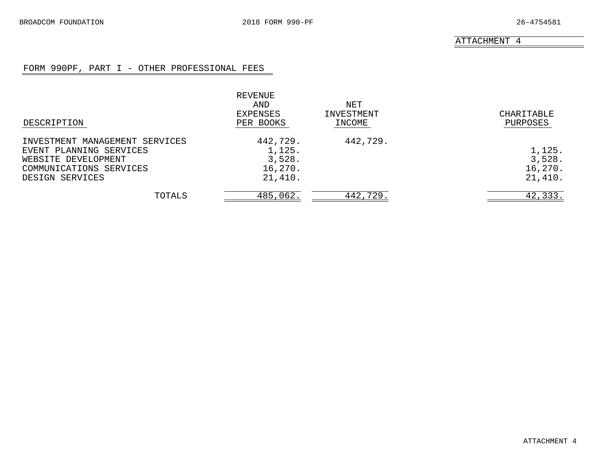# FORM 990PF, PART I - OTHER PROFESSIONAL FEES

<span id="page-19-0"></span>

| DESCRIPTION                                                                                                                    | REVENUE<br>AND<br>EXPENSES<br>PER BOOKS            | NET<br>INVESTMENT<br>INCOME | CHARITABLE<br>PURPOSES                 |
|--------------------------------------------------------------------------------------------------------------------------------|----------------------------------------------------|-----------------------------|----------------------------------------|
| INVESTMENT MANAGEMENT SERVICES<br>EVENT PLANNING SERVICES<br>WEBSITE DEVELOPMENT<br>COMMUNICATIONS SERVICES<br>DESIGN SERVICES | 442,729.<br>1,125.<br>3,528.<br>16,270.<br>21,410. | 442,729.                    | 1,125.<br>3,528.<br>16,270.<br>21,410. |
| TOTALS                                                                                                                         | 485,062.                                           | 442,729.                    | 42,333.                                |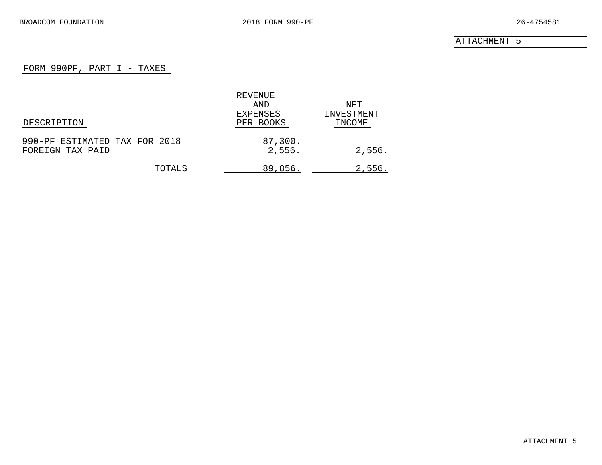# FORM 990PF, PART I - TAXES

<span id="page-20-0"></span>

|                               | REVENUE   |            |
|-------------------------------|-----------|------------|
|                               | AND       | NET        |
|                               | EXPENSES  | INVESTMENT |
| DESCRIPTION                   | PER BOOKS | INCOME     |
| 990-PF ESTIMATED TAX FOR 2018 | 87,300.   |            |
| FOREIGN TAX PAID              | 2,556.    | 2,556.     |
| TOTALS                        | 89,856.   | 2,556.     |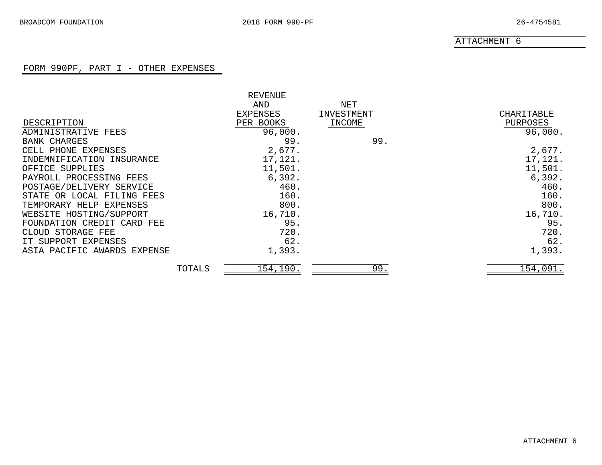# FORM 990PF, PART I - OTHER EXPENSES

<span id="page-21-0"></span>

|                                |        | REVENUE   |            |            |
|--------------------------------|--------|-----------|------------|------------|
|                                |        | AND       | NET        |            |
|                                |        | EXPENSES  | INVESTMENT | CHARITABLE |
| DESCRIPTION                    |        | PER BOOKS | INCOME     | PURPOSES   |
| ADMINISTRATIVE FEES            |        | 96,000.   |            | 96,000.    |
| <b>BANK CHARGES</b>            |        | 99.       | 99.        |            |
| CELL PHONE EXPENSES            |        | 2,677.    |            | 2,677.     |
| INDEMNIFICATION INSURANCE      |        | 17,121.   |            | 17,121.    |
| OFFICE SUPPLIES                |        | 11,501.   |            | 11,501.    |
| PAYROLL PROCESSING FEES        |        | 6,392.    |            | 6,392.     |
| POSTAGE/DELIVERY SERVICE       |        | 460.      |            | 460.       |
| STATE OR LOCAL FILING FEES     |        | 160.      |            | 160.       |
| TEMPORARY HELP EXPENSES        |        | 800.      |            | 800.       |
| WEBSITE HOSTING/SUPPORT        |        | 16,710.   |            | 16,710.    |
| FOUNDATION CREDIT CARD FEE     |        | 95.       |            | 95.        |
| STORAGE FEE<br>CLOUD.          |        | 720.      |            | 720.       |
| IT SUPPORT EXPENSES            |        | 62.       |            | 62.        |
| ASIA PACIFIC AWARDS<br>EXPENSE |        | 1,393.    |            | 1,393.     |
|                                | TOTALS | 154,190.  | 99.        | 154,091.   |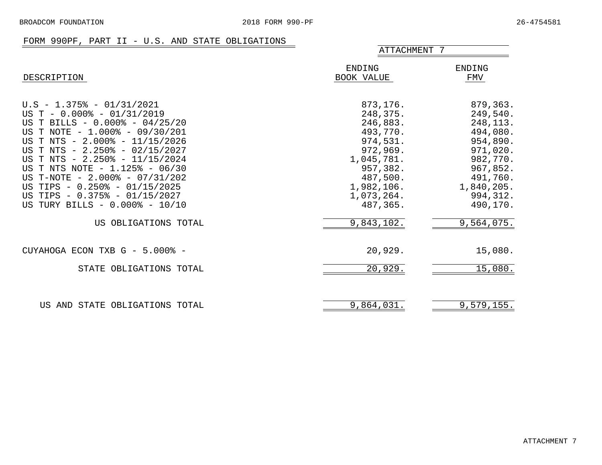## FORM 990PF, PART II - U.S. AND STATE OBLIGATIONS

<span id="page-22-0"></span>

|                                                                                                                                                                                                                                                                                                                                                                                                                 | ATTACHMENT 7                                                                                                                                       |                                                                                                                                                 |
|-----------------------------------------------------------------------------------------------------------------------------------------------------------------------------------------------------------------------------------------------------------------------------------------------------------------------------------------------------------------------------------------------------------------|----------------------------------------------------------------------------------------------------------------------------------------------------|-------------------------------------------------------------------------------------------------------------------------------------------------|
| DESCRIPTION                                                                                                                                                                                                                                                                                                                                                                                                     | ENDING<br>BOOK VALUE                                                                                                                               | <b>ENDING</b><br>FMV                                                                                                                            |
| $U.S - 1.375$ - 01/31/2021<br>US T - $0.000\%$ - $01/31/2019$<br>US T BILLS - 0.000% - 04/25/20<br>US T NOTE - 1.000% - 09/30/201<br>US T NTS - 2.000% - 11/15/2026<br>US T NTS - 2.250% - 02/15/2027<br>US T NTS - 2.250% - 11/15/2024<br>US T NTS NOTE - 1.125% - 06/30<br>US T-NOTE - 2.000% - 07/31/202<br>US TIPS - 0.250% - 01/15/2025<br>US TIPS - 0.375% - 01/15/2027<br>US TURY BILLS - 0.000% - 10/10 | 873,176.<br>248,375.<br>246,883.<br>493,770.<br>974,531.<br>972,969.<br>1,045,781.<br>957,382.<br>487,500.<br>1,982,106.<br>1,073,264.<br>487,365. | 879,363.<br>249,540.<br>248, 113.<br>494,080.<br>954,890.<br>971,020.<br>982,770.<br>967,852.<br>491,760.<br>1,840,205.<br>994,312.<br>490,170. |
| US OBLIGATIONS TOTAL                                                                                                                                                                                                                                                                                                                                                                                            | 9,843,102.                                                                                                                                         | 9,564,075.                                                                                                                                      |
| CUYAHOGA ECON TXB G - 5.000% -                                                                                                                                                                                                                                                                                                                                                                                  | 20,929.                                                                                                                                            | 15,080.                                                                                                                                         |
| STATE OBLIGATIONS TOTAL                                                                                                                                                                                                                                                                                                                                                                                         | 20,929.                                                                                                                                            | 15,080.                                                                                                                                         |
| US AND STATE OBLIGATIONS TOTAL                                                                                                                                                                                                                                                                                                                                                                                  | 9,864,031.                                                                                                                                         | 9,579,155.                                                                                                                                      |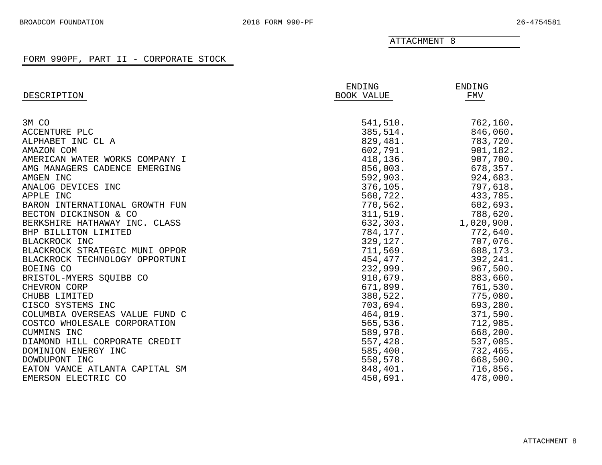<span id="page-23-0"></span>

| DESCRIPTION                    | ENDING<br>BOOK VALUE | ENDING<br>FMV |
|--------------------------------|----------------------|---------------|
|                                |                      |               |
| 3M CO                          | 541,510.             | 762,160.      |
| ACCENTURE PLC                  | 385,514.             | 846,060.      |
| ALPHABET INC CL A              | 829,481.             | 783,720.      |
| AMAZON COM                     | 602,791.             | 901,182.      |
| AMERICAN WATER WORKS COMPANY I | 418,136.             | 907,700.      |
| AMG MANAGERS CADENCE EMERGING  | 856,003.             | 678,357.      |
| AMGEN INC                      | 592,903.             | 924,683.      |
| ANALOG DEVICES INC             | 376,105.             | 797,618.      |
| APPLE INC                      | 560,722.             | 433,785.      |
| BARON INTERNATIONAL GROWTH FUN | 770,562.             | 602,693.      |
| BECTON DICKINSON & CO          | 311,519.             | 788,620.      |
| BERKSHIRE HATHAWAY INC. CLASS  | 632,303.             | 1,020,900.    |
| BHP BILLITON LIMITED           | 784,177.             | 772,640.      |
| BLACKROCK INC                  | 329,127.             | 707,076.      |
| BLACKROCK STRATEGIC MUNI OPPOR | 711,569.             | 688,173.      |
| BLACKROCK TECHNOLOGY OPPORTUNI | 454,477.             | 392,241.      |
| BOEING CO                      | 232,999.             | 967,500.      |
| BRISTOL-MYERS SQUIBB CO        | 910,679.             | 883,660.      |
| CHEVRON CORP                   | 671,899.             | 761,530.      |
| CHUBB LIMITED                  | 380,522.             | 775,080.      |
| CISCO SYSTEMS INC              | 703,694.             | 693,280.      |
| COLUMBIA OVERSEAS VALUE FUND C | 464,019.             | 371,590.      |
| COSTCO WHOLESALE CORPORATION   | 565,536.             | 712,985.      |
| CUMMINS INC                    | 589,978.             | 668,200.      |
| DIAMOND HILL CORPORATE CREDIT  | 557,428.             | 537,085.      |
| DOMINION ENERGY INC            | 585,400.             | 732,465.      |
| DOWDUPONT INC                  | 558,578.             | 668,500.      |
| EATON VANCE ATLANTA CAPITAL SM | 848,401.             | 716,856.      |
| EMERSON ELECTRIC CO            | 450,691.             | 478,000.      |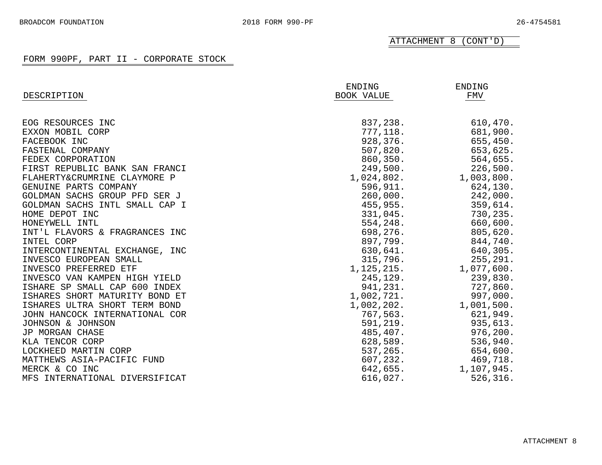ATTACHMENT 8 (CONT'D)

| DESCRIPTION                    | ENDING<br>BOOK VALUE | ENDING<br>FMV |
|--------------------------------|----------------------|---------------|
|                                |                      |               |
| EOG RESOURCES INC              | 837,238.             | 610,470.      |
| EXXON MOBIL CORP               | 777,118.             | 681,900.      |
| FACEBOOK INC                   | 928,376.             | 655,450.      |
| FASTENAL COMPANY               | 507,820.             | 653,625.      |
| FEDEX CORPORATION              | 860, 350.            | 564,655.      |
| FIRST REPUBLIC BANK SAN FRANCI | 249,500.             | 226,500.      |
| FLAHERTY&CRUMRINE CLAYMORE P   | 1,024,802.           | 1,003,800.    |
| GENUINE PARTS COMPANY          | 596,911.             | 624,130.      |
| GOLDMAN SACHS GROUP PFD SER J  | 260,000.             | 242,000.      |
| GOLDMAN SACHS INTL SMALL CAP I | 455,955.             | 359,614.      |
| HOME DEPOT INC                 | 331,045.             | 730,235.      |
| HONEYWELL INTL                 | 554,248.             | 660,600.      |
| INT'L FLAVORS & FRAGRANCES INC | 698,276.             | 805,620.      |
| INTEL CORP                     | 897,799.             | 844,740.      |
| INTERCONTINENTAL EXCHANGE, INC | 630,641.             | 640,305.      |
| INVESCO EUROPEAN SMALL         | 315,796.             | 255,291.      |
| INVESCO PREFERRED ETF          | 1, 125, 215.         | 1,077,600.    |
| INVESCO VAN KAMPEN HIGH YIELD  | 245,129.             | 239,830.      |
| ISHARE SP SMALL CAP 600 INDEX  | 941,231.             | 727,860.      |
| ISHARES SHORT MATURITY BOND ET | 1,002,721.           | 997,000.      |
| ISHARES ULTRA SHORT TERM BOND  | 1,002,202.           | 1,001,500.    |
| JOHN HANCOCK INTERNATIONAL COR | 767,563.             | 621,949.      |
| JOHNSON & JOHNSON              | 591,219.             | 935,613.      |
| JP MORGAN CHASE                | 485,407.             | 976, 200.     |
| KLA TENCOR CORP                | 628,589.             | 536,940.      |
| LOCKHEED MARTIN CORP           | 537,265.             | 654,600.      |
| MATTHEWS ASIA-PACIFIC FUND     | 607, 232.            | 469,718.      |
| MERCK & CO INC                 | 642,655.             | 1,107,945.    |
| MFS INTERNATIONAL DIVERSIFICAT | 616,027.             | 526,316.      |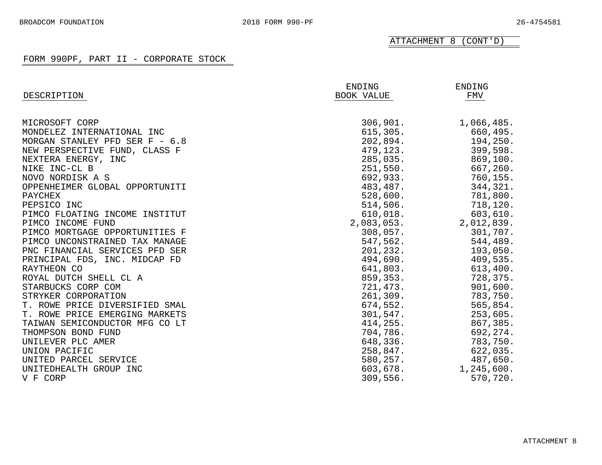ATTACHMENT 8 (CONT'D)

| DESCRIPTION                    | ENDING<br>BOOK VALUE | ENDING<br>FMV |
|--------------------------------|----------------------|---------------|
| MICROSOFT CORP                 | 306,901.             | 1,066,485.    |
| MONDELEZ INTERNATIONAL INC     | 615, 305.            | 660,495.      |
| MORGAN STANLEY PFD SER F - 6.8 | 202,894.             | 194,250.      |
| NEW PERSPECTIVE FUND, CLASS F  | 479,123.             | 399,598.      |
| NEXTERA ENERGY, INC            | 285,035.             | 869,100.      |
| NIKE INC-CL B                  | 251,550.             | 667,260.      |
| NOVO NORDISK A S               | 692,933.             | 760,155.      |
| OPPENHEIMER GLOBAL OPPORTUNITI | 483,487.             | 344,321.      |
| PAYCHEX                        | 528,600.             | 781,800.      |
| PEPSICO INC                    | 514,506.             | 718,120.      |
| PIMCO FLOATING INCOME INSTITUT | 610,018.             | 603,610.      |
| PIMCO INCOME FUND              | 2,083,053.           | 2,012,839.    |
| PIMCO MORTGAGE OPPORTUNITIES F | 308,057.             | 301,707.      |
| PIMCO UNCONSTRAINED TAX MANAGE | 547,562.             | 544,489.      |
| PNC FINANCIAL SERVICES PFD SER | 201,232.             | 193,050.      |
| PRINCIPAL FDS, INC. MIDCAP FD  | 494,690.             | 409,535.      |
| RAYTHEON CO                    | 641,803.             | 613,400.      |
| ROYAL DUTCH SHELL CL A         | 859,353.             | 728,375.      |
| STARBUCKS CORP COM             | 721,473.             | 901,600.      |
| STRYKER CORPORATION            | 261,309.             | 783,750.      |
| T. ROWE PRICE DIVERSIFIED SMAL | 674,552.             | 565,854.      |
| T. ROWE PRICE EMERGING MARKETS | 301,547.             | 253,605.      |
| TAIWAN SEMICONDUCTOR MFG CO LT | 414,255.             | 867,385.      |
| THOMPSON BOND FUND             | 704,786.             | 692,274.      |
| UNILEVER PLC AMER              | 648,336.             | 783,750.      |
| UNION PACIFIC                  | 258,847.             | 622,035.      |
| UNITED PARCEL SERVICE          | 580,257.             | 487,650.      |
| UNITEDHEALTH GROUP INC         | 603,678.             | 1,245,600.    |
| V F CORP                       | 309,556.             | 570,720.      |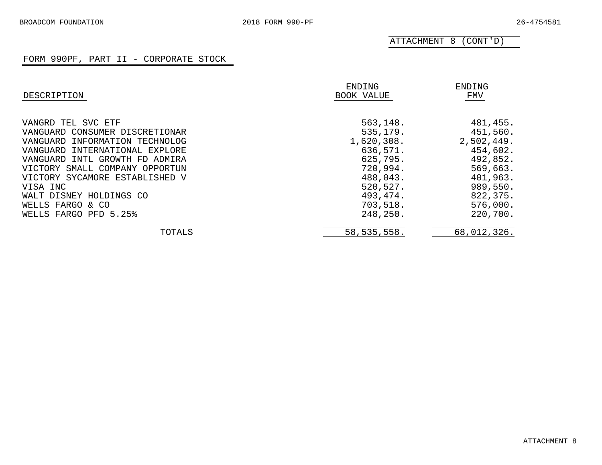ATTACHMENT 8 (CONT'D)

| DESCRIPTION                    | ENDING<br>BOOK VALUE | ENDING<br>FMV |
|--------------------------------|----------------------|---------------|
| VANGRD TEL SVC ETF             | 563,148.             | 481,455.      |
| VANGUARD CONSUMER DISCRETIONAR | 535,179.             | 451,560.      |
| VANGUARD INFORMATION TECHNOLOG | 1,620,308.           | 2,502,449.    |
| VANGUARD INTERNATIONAL EXPLORE | 636,571.             | 454,602.      |
| VANGUARD INTL GROWTH FD ADMIRA | 625,795.             | 492,852.      |
| VICTORY SMALL COMPANY OPPORTUN | 720,994.             | 569,663.      |
| VICTORY SYCAMORE ESTABLISHED V | 488,043.             | 401,963.      |
| VISA INC                       | 520,527.             | 989,550.      |
| WALT DISNEY HOLDINGS CO        | 493,474.             | 822,375.      |
| WELLS FARGO & CO               | 703,518.             | 576,000.      |
| WELLS FARGO PFD 5.25%          | 248,250.             | 220,700.      |
| TOTALS                         | 58, 535, 558.        | 68,012,326.   |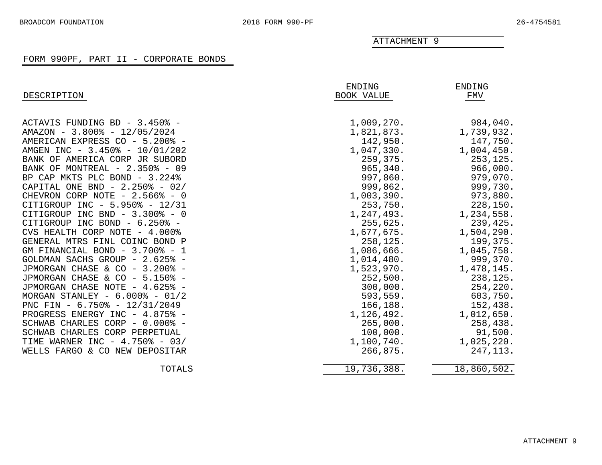# FORM 990PF, PART II - CORPORATE BONDS

<span id="page-27-0"></span>

| DESCRIPTION                        | ENDING<br><b>BOOK VALUE</b> | ENDING<br>FMV |
|------------------------------------|-----------------------------|---------------|
|                                    |                             |               |
| ACTAVIS FUNDING BD - 3.450% -      | 1,009,270.                  | 984,040.      |
| AMAZON - 3.800% - 12/05/2024       | 1,821,873.                  | 1,739,932.    |
| AMERICAN EXPRESS CO - 5.200% -     | 142,950.                    | 147,750.      |
| AMGEN INC - 3.450% - 10/01/202     | 1,047,330.                  | 1,004,450.    |
| BANK OF AMERICA CORP JR SUBORD     | 259,375.                    | 253,125.      |
| BANK OF MONTREAL - 2.350% - 09     | 965,340.                    | 966,000.      |
| BP CAP MKTS PLC BOND - 3.224%      | 997,860.                    | 979,070.      |
| CAPITAL ONE BND - $2.250\%$ - 02/  | 999,862.                    | 999,730.      |
| CHEVRON CORP NOTE - 2.566% - 0     | 1,003,390.                  | 973,880.      |
| CITIGROUP INC - 5.950% - 12/31     | 253,750.                    | 228,150.      |
| CITIGROUP INC BND - 3.300% - 0     | 1,247,493.                  | 1,234,558.    |
| CITIGROUP INC BOND - 6.250% -      | 255,625.                    | 239,425.      |
| CVS HEALTH CORP NOTE - 4.000%      | 1,677,675.                  | 1,504,290.    |
| GENERAL MTRS FINL COINC BOND P     | 258,125.                    | 199,375.      |
| GM FINANCIAL BOND - 3.700% - 1     | 1,086,666.                  | 1,045,758.    |
| GOLDMAN SACHS GROUP - 2.625% -     | 1,014,480.                  | 999,370.      |
| JPMORGAN CHASE & CO - 3.200% -     | 1,523,970.                  | 1,478,145.    |
| JPMORGAN CHASE & CO - 5.150% -     | 252,500.                    | 238,125.      |
| JPMORGAN CHASE NOTE - 4.625% -     | 300,000.                    | 254,220.      |
| MORGAN STANLEY - $6.000\%$ - 01/2  | 593,559.                    | 603,750.      |
| PNC FIN - $6.750\%$ - $12/31/2049$ | 166,188.                    | 152,438.      |
| PROGRESS ENERGY INC - 4.875% -     | 1,126,492.                  | 1,012,650.    |
| SCHWAB CHARLES CORP - 0.000% -     | 265,000.                    | 258,438.      |
| SCHWAB CHARLES CORP PERPETUAL      | 100,000.                    | 91,500.       |
| TIME WARNER INC - $4.750\%$ - 03/  | 1,100,740.                  | 1,025,220.    |
| WELLS FARGO & CO NEW DEPOSITAR     | 266,875.                    | 247, 113.     |
| TOTALS                             | 19,736,388.                 | 18,860,502.   |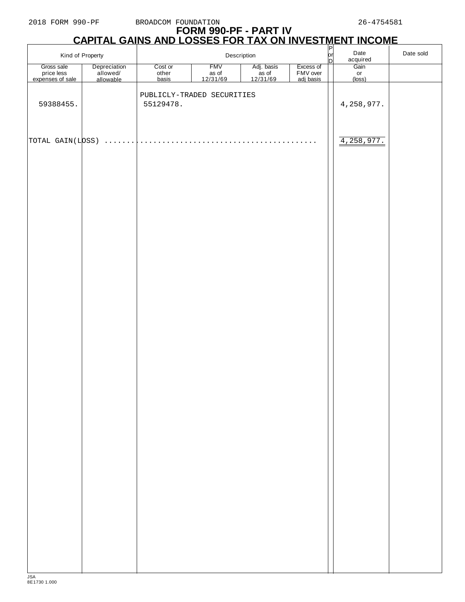# **FORM 990-PF - PART IV CAPITAL GAINS AND LOSSES FOR TAX ON INVESTMENT INCOME**

|                                              | Kind of Property                      |                                         | Description       |                                   |                                    | $P$<br>or<br>D | Date<br>acquired | Date sold |
|----------------------------------------------|---------------------------------------|-----------------------------------------|-------------------|-----------------------------------|------------------------------------|----------------|------------------|-----------|
| Gross sale<br>price less<br>expenses of sale | Depreciation<br>allowed/<br>allowable | Cost or<br>other<br>basis               | <b>FMV</b>        | Adj. basis<br>as of<br>$12/31/69$ | Excess of<br>FMV over<br>adj basis |                | Gain             |           |
|                                              |                                       |                                         | as of<br>12/31/69 |                                   |                                    |                | or<br>(loss)     |           |
| 59388455.                                    |                                       | PUBLICLY-TRADED SECURITIES<br>55129478. |                   |                                   |                                    |                | 4, 258, 977.     |           |
| TOTAL GAIN(LOSS)                             | a a a a a an                          |                                         |                   |                                   | $\cdot$ $\cdot$ $\cdot$            |                | 4,258,977.       |           |
|                                              |                                       |                                         |                   |                                   |                                    |                |                  |           |
|                                              |                                       |                                         |                   |                                   |                                    |                |                  |           |
|                                              |                                       |                                         |                   |                                   |                                    |                |                  |           |
|                                              |                                       |                                         |                   |                                   |                                    |                |                  |           |
|                                              |                                       |                                         |                   |                                   |                                    |                |                  |           |
|                                              |                                       |                                         |                   |                                   |                                    |                |                  |           |
|                                              |                                       |                                         |                   |                                   |                                    |                |                  |           |
|                                              |                                       |                                         |                   |                                   |                                    |                |                  |           |
|                                              |                                       |                                         |                   |                                   |                                    |                |                  |           |
|                                              |                                       |                                         |                   |                                   |                                    |                |                  |           |
|                                              |                                       |                                         |                   |                                   |                                    |                |                  |           |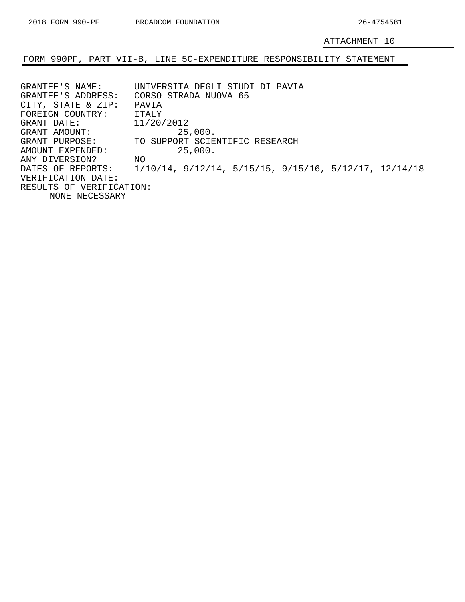## <span id="page-29-0"></span>FORM 990PF, PART VII-B, LINE 5C-EXPENDITURE RESPONSIBILITY STATEMENT

GRANTEE'S NAME: UNIVERSITA DEGLI STUDI DI PAVIA GRANTEE'S ADDRESS: CORSO STRADA NUOVA 65 CITY, STATE & ZIP: PAVIA FOREIGN COUNTRY: ITALY GRANT DATE: 11/20/2012<br>GRANT AMOUNT: 25 GRANT AMOUNT: 25,000. GRANT PURPOSE: TO SUPPORT SCIENTIFIC RESEARCH AMOUNT EXPENDED: 25,000.<br>ANY DIVERSION? NO ANY DIVERSION? DATES OF REPORTS: 1/10/14, 9/12/14, 5/15/15, 9/15/16, 5/12/17, 12/14/18 VERIFICATION DATE: RESULTS OF VERIFICATION: NONE NECESSARY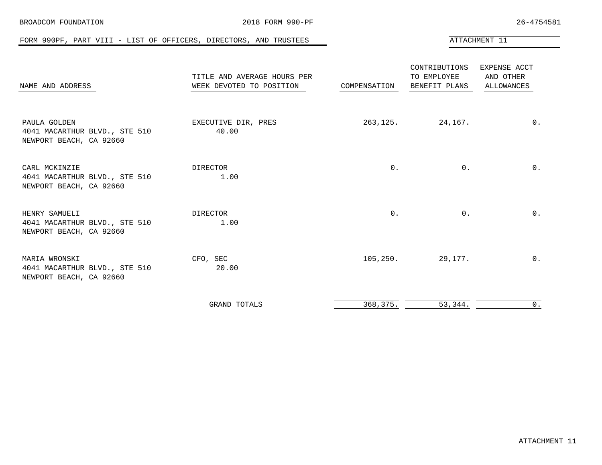<span id="page-30-0"></span>

| FORM 990PF, PART VIII - LIST OF OFFICERS, DIRECTORS, AND TRUSTEES         |                                                         |              |                                               | ATTACHMENT 11                                  |
|---------------------------------------------------------------------------|---------------------------------------------------------|--------------|-----------------------------------------------|------------------------------------------------|
| NAME AND ADDRESS                                                          | TITLE AND AVERAGE HOURS PER<br>WEEK DEVOTED TO POSITION | COMPENSATION | CONTRIBUTIONS<br>TO EMPLOYEE<br>BENEFIT PLANS | EXPENSE ACCT<br>AND OTHER<br><b>ALLOWANCES</b> |
| PAULA GOLDEN<br>4041 MACARTHUR BLVD., STE 510<br>NEWPORT BEACH, CA 92660  | EXECUTIVE DIR, PRES<br>40.00                            | 263,125.     | 24,167.                                       | $0$ .                                          |
| CARL MCKINZIE<br>4041 MACARTHUR BLVD., STE 510<br>NEWPORT BEACH, CA 92660 | DIRECTOR<br>1.00                                        | $0$ .        | $0$ .                                         | $0$ .                                          |
| HENRY SAMUELI<br>4041 MACARTHUR BLVD., STE 510<br>NEWPORT BEACH, CA 92660 | DIRECTOR<br>1.00                                        | 0.           | $0$ .                                         | $0$ .                                          |
| MARIA WRONSKI<br>4041 MACARTHUR BLVD., STE 510<br>NEWPORT BEACH, CA 92660 | CFO, SEC<br>20.00                                       | 105,250.     | 29,177.                                       | $0$ .                                          |
|                                                                           | <b>GRAND TOTALS</b>                                     | 368,375.     | 53,344.                                       | 0.                                             |

BROADCOM FOUNDATION 2018 FORM 990-PF 26-4754581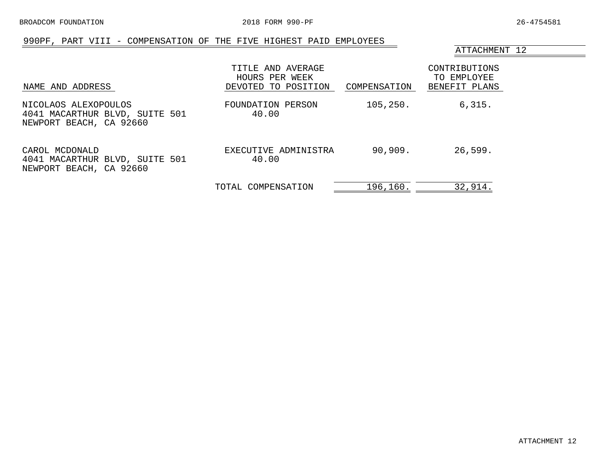## 990PF, PART VIII - COMPENSATION OF THE FIVE HIGHEST PAID EMPLOYEES

ATTACHMENT 12

<span id="page-31-0"></span>

| NAME AND ADDRESS                                                                  | TITLE AND AVERAGE<br>HOURS PER WEEK<br>DEVOTED TO POSITION | COMPENSATION | CONTRIBUTIONS<br>TO EMPLOYEE<br>BENEFIT PLANS |
|-----------------------------------------------------------------------------------|------------------------------------------------------------|--------------|-----------------------------------------------|
| NICOLAOS ALEXOPOULOS<br>4041 MACARTHUR BLVD, SUITE 501<br>NEWPORT BEACH, CA 92660 | FOUNDATION PERSON<br>40.00                                 | 105, 250.    | 6,315.                                        |
| CAROL MCDONALD<br>4041 MACARTHUR BLVD, SUITE 501<br>NEWPORT BEACH, CA 92660       | EXECUTIVE ADMINISTRA<br>40.00                              | 90,909.      | 26,599.                                       |
|                                                                                   | TOTAL COMPENSATION                                         | 196,160.     | 32,914.                                       |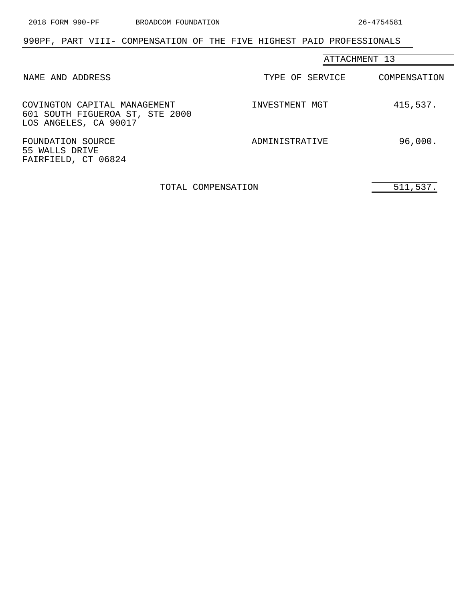# <span id="page-32-0"></span>990PF, PART VIII- COMPENSATION OF THE FIVE HIGHEST PAID PROFESSIONALS

|                                                                                          | ATTACHMENT 13   |              |  |
|------------------------------------------------------------------------------------------|-----------------|--------------|--|
| NAME AND ADDRESS                                                                         | TYPE OF SERVICE | COMPENSATION |  |
| COVINGTON CAPITAL MANAGEMENT<br>601 SOUTH FIGUEROA ST, STE 2000<br>LOS ANGELES, CA 90017 | INVESTMENT MGT  | 415,537.     |  |
| FOUNDATION SOURCE<br>55 WALLS DRIVE<br>FAIRFIELD, CT 06824                               | ADMINISTRATIVE  | 96,000.      |  |

TOTAL COMPENSATION 511,537.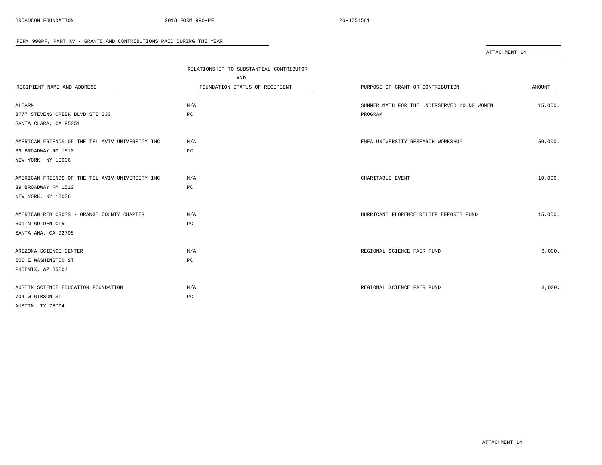<span id="page-33-0"></span>

|                                                 |                                         | ATTACHMENT 14                               |         |
|-------------------------------------------------|-----------------------------------------|---------------------------------------------|---------|
|                                                 | RELATIONSHIP TO SUBSTANTIAL CONTRIBUTOR |                                             |         |
|                                                 | AND                                     |                                             |         |
| RECIPIENT NAME AND ADDRESS                      | FOUNDATION STATUS OF RECIPIENT          | PURPOSE OF GRANT OR CONTRIBUTION            | AMOUNT  |
|                                                 |                                         |                                             |         |
| ALEARN                                          | N/A                                     | SUMMER MATH FOR THE UNDERSERVED YOUNG WOMEN | 15,000. |
| 3777 STEVENS CREEK BLVD STE 330                 | $_{\rm PC}$                             | PROGRAM                                     |         |
| SANTA CLARA, CA 95051                           |                                         |                                             |         |
|                                                 |                                         |                                             |         |
| AMERICAN FRIENDS OF THE TEL AVIV UNIVERSITY INC | N/A                                     | EMEA UNIVERSITY RESEARCH WORKSHOP           | 50,000. |
| 39 BROADWAY RM 1510                             | PC                                      |                                             |         |
| NEW YORK, NY 10006                              |                                         |                                             |         |
|                                                 |                                         |                                             |         |
| AMERICAN FRIENDS OF THE TEL AVIV UNIVERSITY INC | N/A                                     | CHARITABLE EVENT                            | 10,000. |
| 39 BROADWAY RM 1510                             | $_{\rm PC}$                             |                                             |         |
| NEW YORK, NY 10006                              |                                         |                                             |         |
|                                                 |                                         |                                             |         |
| AMERICAN RED CROSS - ORANGE COUNTY CHAPTER      | N/A                                     | HURRICANE FLORENCE RELIEF EFFORTS FUND      | 15,000. |
| 601 N GOLDEN CIR                                | PC                                      |                                             |         |
| SANTA ANA, CA 92705                             |                                         |                                             |         |
|                                                 |                                         |                                             |         |
| ARIZONA SCIENCE CENTER                          | N/A                                     | REGIONAL SCIENCE FAIR FUND                  | 3,000.  |
| 600 E WASHINGTON ST                             | PC                                      |                                             |         |
| PHOENIX, AZ 85004                               |                                         |                                             |         |
|                                                 |                                         |                                             |         |
| AUSTIN SCIENCE EDUCATION FOUNDATION             | N/A                                     | REGIONAL SCIENCE FAIR FUND                  | 3,000.  |
| 704 W GIBSON ST                                 | PC                                      |                                             |         |
| AUSTIN, TX 78704                                |                                         |                                             |         |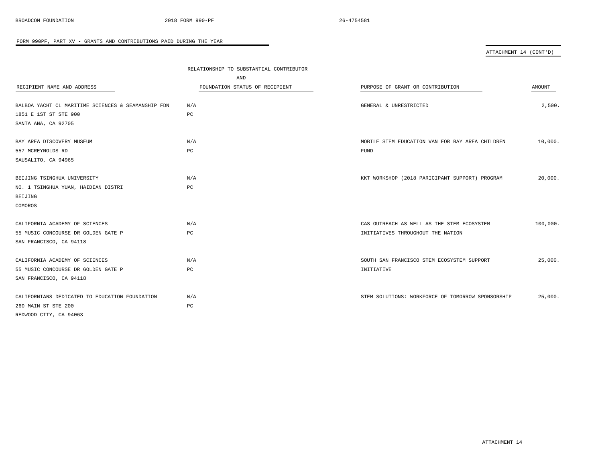ATTACHMENT 14 (CONT'D)

|                                                    | RELATIONSHIP TO SUBSTANTIAL CONTRIBUTOR |                                                   |          |  |
|----------------------------------------------------|-----------------------------------------|---------------------------------------------------|----------|--|
|                                                    | AND                                     |                                                   |          |  |
| RECIPIENT NAME AND ADDRESS                         | FOUNDATION STATUS OF RECIPIENT          | PURPOSE OF GRANT OR CONTRIBUTION                  | AMOUNT   |  |
|                                                    |                                         |                                                   |          |  |
| BALBOA YACHT CL MARITIME SCIENCES & SEAMANSHIP FDN | N/A                                     | GENERAL & UNRESTRICTED                            | 2,500.   |  |
| 1851 E 1ST ST STE 900                              | PC                                      |                                                   |          |  |
| SANTA ANA, CA 92705                                |                                         |                                                   |          |  |
| BAY AREA DISCOVERY MUSEUM                          | N/A                                     | MOBILE STEM EDUCATION VAN FOR BAY AREA CHILDREN   | 10,000.  |  |
| 557 MCREYNOLDS RD                                  | PC                                      | FUND                                              |          |  |
| SAUSALITO, CA 94965                                |                                         |                                                   |          |  |
| BEIJING TSINGHUA UNIVERSITY                        | N/A                                     | KKT WORKSHOP (2018 PARICIPANT SUPPORT) PROGRAM    | 20,000.  |  |
| NO. 1 TSINGHUA YUAN, HAIDIAN DISTRI                | PC                                      |                                                   |          |  |
| BEIJING                                            |                                         |                                                   |          |  |
| COMOROS                                            |                                         |                                                   |          |  |
| CALIFORNIA ACADEMY OF SCIENCES                     | N/A                                     | CAS OUTREACH AS WELL AS THE STEM ECOSYSTEM        | 100,000. |  |
| 55 MUSIC CONCOURSE DR GOLDEN GATE P                | PC                                      | INITIATIVES THROUGHOUT THE NATION                 |          |  |
| SAN FRANCISCO, CA 94118                            |                                         |                                                   |          |  |
| CALIFORNIA ACADEMY OF SCIENCES                     | N/A                                     | SOUTH SAN FRANCISCO STEM ECOSYSTEM SUPPORT        | 25,000.  |  |
| 55 MUSIC CONCOURSE DR GOLDEN GATE P                | PC                                      | INITIATIVE                                        |          |  |
| SAN FRANCISCO, CA 94118                            |                                         |                                                   |          |  |
| CALIFORNIANS DEDICATED TO EDUCATION FOUNDATION     | N/A                                     | STEM SOLUTIONS: WORKFORCE OF TOMORROW SPONSORSHIP | 25,000.  |  |
| 260 MAIN ST STE 200                                | PC                                      |                                                   |          |  |
| REDWOOD CITY, CA 94063                             |                                         |                                                   |          |  |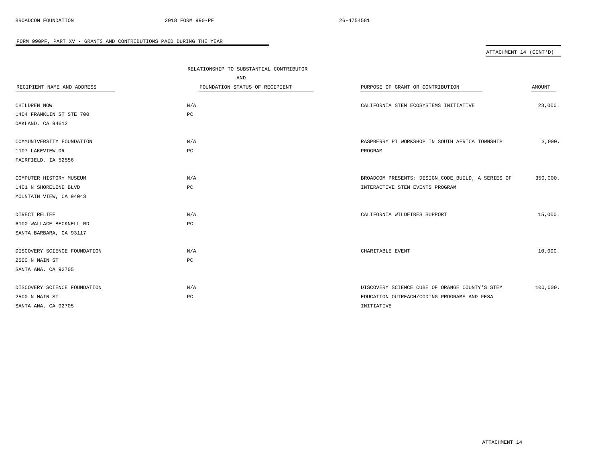ATTACHMENT 14 (CONT'D)

|                              | RELATIONSHIP TO SUBSTANTIAL CONTRIBUTOR |                                                   |          |
|------------------------------|-----------------------------------------|---------------------------------------------------|----------|
|                              | AND                                     |                                                   |          |
| RECIPIENT NAME AND ADDRESS   | FOUNDATION STATUS OF RECIPIENT          | PURPOSE OF GRANT OR CONTRIBUTION                  | AMOUNT   |
|                              |                                         |                                                   |          |
| CHILDREN NOW                 | N/A                                     | CALIFORNIA STEM ECOSYSTEMS INITIATIVE             | 23,000.  |
| 1404 FRANKLIN ST STE 700     | $_{\rm PC}$                             |                                                   |          |
| OAKLAND, CA 94612            |                                         |                                                   |          |
|                              |                                         |                                                   |          |
| COMMUNIVERSITY FOUNDATION    | N/A                                     | RASPBERRY PI WORKSHOP IN SOUTH AFRICA TOWNSHIP    | 3,000.   |
| 1107 LAKEVIEW DR             | PC                                      | PROGRAM                                           |          |
| FAIRFIELD, IA 52556          |                                         |                                                   |          |
|                              |                                         |                                                   |          |
| COMPUTER HISTORY MUSEUM      | N/A                                     | BROADCOM PRESENTS: DESIGN_CODE_BUILD, A SERIES OF | 350,000. |
| 1401 N SHORELINE BLVD        | PC                                      | INTERACTIVE STEM EVENTS PROGRAM                   |          |
| MOUNTAIN VIEW, CA 94043      |                                         |                                                   |          |
| DIRECT RELIEF                | N/A                                     | CALIFORNIA WILDFIRES SUPPORT                      | 15,000.  |
| 6100 WALLACE BECKNELL RD     | PC                                      |                                                   |          |
| SANTA BARBARA, CA 93117      |                                         |                                                   |          |
|                              |                                         |                                                   |          |
| DISCOVERY SCIENCE FOUNDATION | N/A                                     | CHARITABLE EVENT                                  | 10,000.  |
| 2500 N MAIN ST               | $_{\rm PC}$                             |                                                   |          |
| SANTA ANA, CA 92705          |                                         |                                                   |          |
|                              |                                         |                                                   |          |
| DISCOVERY SCIENCE FOUNDATION | N/A                                     | DISCOVERY SCIENCE CUBE OF ORANGE COUNTY'S STEM    | 100,000. |
| 2500 N MAIN ST               | PC                                      | EDUCATION OUTREACH/CODING PROGRAMS AND FESA       |          |
| SANTA ANA, CA 92705          |                                         | INITIATIVE                                        |          |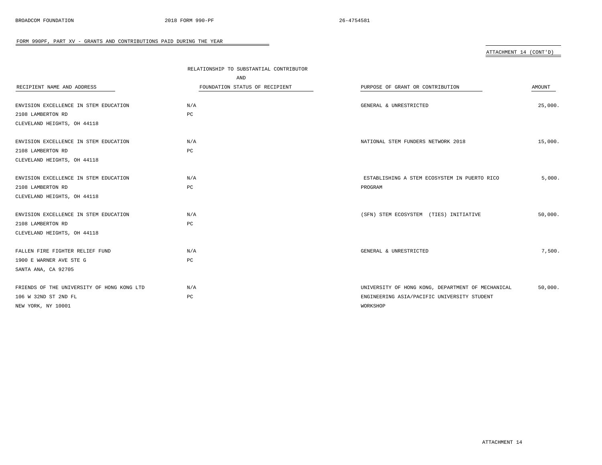ATTACHMENT 14 (CONT'D)

|                                            | RELATIONSHIP TO SUBSTANTIAL CONTRIBUTOR |                                                   |         |
|--------------------------------------------|-----------------------------------------|---------------------------------------------------|---------|
|                                            | AND                                     |                                                   |         |
| RECIPIENT NAME AND ADDRESS                 | FOUNDATION STATUS OF RECIPIENT          | PURPOSE OF GRANT OR CONTRIBUTION                  | AMOUNT  |
|                                            |                                         |                                                   |         |
| ENVISION EXCELLENCE IN STEM EDUCATION      | N/A                                     | GENERAL & UNRESTRICTED                            | 25,000. |
| 2108 LAMBERTON RD                          | PC                                      |                                                   |         |
| CLEVELAND HEIGHTS, OH 44118                |                                         |                                                   |         |
|                                            |                                         |                                                   |         |
| ENVISION EXCELLENCE IN STEM EDUCATION      | N/A                                     | NATIONAL STEM FUNDERS NETWORK 2018                | 15,000. |
| 2108 LAMBERTON RD                          | $_{\rm PC}$                             |                                                   |         |
| CLEVELAND HEIGHTS, OH 44118                |                                         |                                                   |         |
| ENVISION EXCELLENCE IN STEM EDUCATION      | N/A                                     | ESTABLISHING A STEM ECOSYSTEM IN PUERTO RICO      | 5,000.  |
| 2108 LAMBERTON RD                          | PC                                      | PROGRAM                                           |         |
| CLEVELAND HEIGHTS, OH 44118                |                                         |                                                   |         |
|                                            |                                         |                                                   |         |
| ENVISION EXCELLENCE IN STEM EDUCATION      | N/A                                     | (SFN) STEM ECOSYSTEM (TIES) INITIATIVE            | 50,000. |
| 2108 LAMBERTON RD                          | $_{\rm PC}$                             |                                                   |         |
| CLEVELAND HEIGHTS, OH 44118                |                                         |                                                   |         |
|                                            |                                         |                                                   |         |
| FALLEN FIRE FIGHTER RELIEF FUND            | N/A                                     | GENERAL & UNRESTRICTED                            | 7,500.  |
| 1900 E WARNER AVE STE G                    | PC                                      |                                                   |         |
| SANTA ANA, CA 92705                        |                                         |                                                   |         |
|                                            |                                         |                                                   |         |
| FRIENDS OF THE UNIVERSITY OF HONG KONG LTD | N/A                                     | UNIVERSITY OF HONG KONG, DEPARTMENT OF MECHANICAL | 50,000. |
| 106 W 32ND ST 2ND FL                       | PC                                      | ENGINEERING ASIA/PACIFIC UNIVERSITY STUDENT       |         |
| NEW YORK, NY 10001                         |                                         | WORKSHOP                                          |         |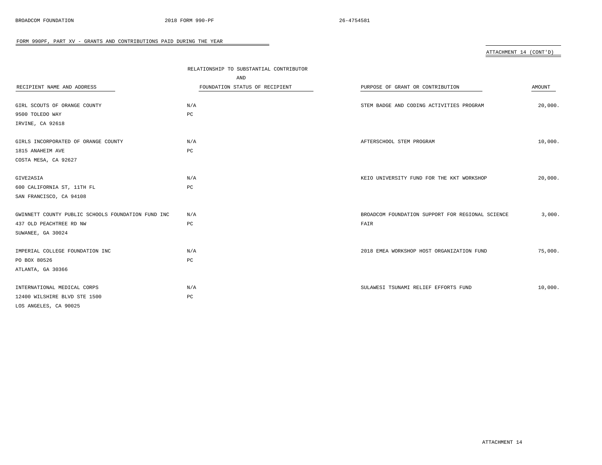## ATTACHMENT 14 (CONT'D)

|                                                    | RELATIONSHIP TO SUBSTANTIAL CONTRIBUTOR |                                                  |         |
|----------------------------------------------------|-----------------------------------------|--------------------------------------------------|---------|
|                                                    | AND                                     |                                                  |         |
| RECIPIENT NAME AND ADDRESS                         | FOUNDATION STATUS OF RECIPIENT          | PURPOSE OF GRANT OR CONTRIBUTION                 | AMOUNT  |
| GIRL SCOUTS OF ORANGE COUNTY                       | N/A                                     | STEM BADGE AND CODING ACTIVITIES PROGRAM         | 20,000. |
| 9500 TOLEDO WAY                                    | $_{\rm PC}$                             |                                                  |         |
| IRVINE, CA 92618                                   |                                         |                                                  |         |
|                                                    |                                         |                                                  |         |
| GIRLS INCORPORATED OF ORANGE COUNTY                | N/A                                     | AFTERSCHOOL STEM PROGRAM                         | 10,000. |
| 1815 ANAHEIM AVE                                   | PC                                      |                                                  |         |
| COSTA MESA, CA 92627                               |                                         |                                                  |         |
|                                                    |                                         |                                                  |         |
| GIVE2ASIA                                          | N/A                                     | KEIO UNIVERSITY FUND FOR THE KKT WORKSHOP        | 20,000. |
| 600 CALIFORNIA ST, 11TH FL                         | PC                                      |                                                  |         |
| SAN FRANCISCO, CA 94108                            |                                         |                                                  |         |
|                                                    |                                         |                                                  |         |
| GWINNETT COUNTY PUBLIC SCHOOLS FOUNDATION FUND INC | N/A                                     | BROADCOM FOUNDATION SUPPORT FOR REGIONAL SCIENCE | 3,000.  |
| 437 OLD PEACHTREE RD NW                            | $_{\rm PC}$                             | FAIR                                             |         |
| SUWANEE, GA 30024                                  |                                         |                                                  |         |
| IMPERIAL COLLEGE FOUNDATION INC                    | N/A                                     | 2018 EMEA WORKSHOP HOST ORGANIZATION FUND        | 75,000. |
|                                                    |                                         |                                                  |         |
| PO BOX 80526                                       | PC                                      |                                                  |         |
| ATLANTA, GA 30366                                  |                                         |                                                  |         |
| INTERNATIONAL MEDICAL CORPS                        | N/A                                     | SULAWESI TSUNAMI RELIEF EFFORTS FUND             | 10,000. |
| 12400 WILSHIRE BLVD STE 1500                       | PC                                      |                                                  |         |
| LOS ANGELES, CA 90025                              |                                         |                                                  |         |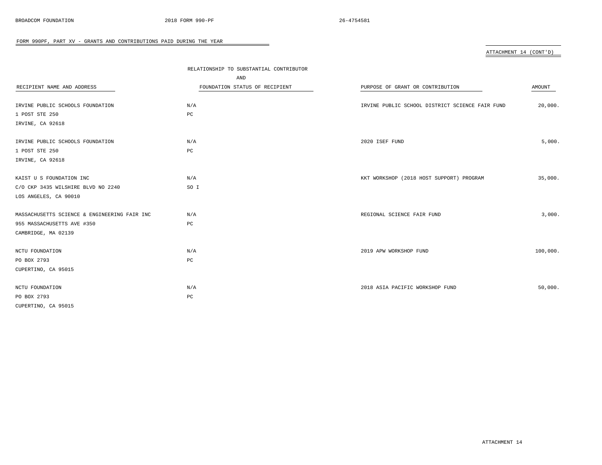## ATTACHMENT 14 (CONT'D)

| RECIPIENT NAME AND ADDRESS                   | RELATIONSHIP TO SUBSTANTIAL CONTRIBUTOR<br>AND<br>FOUNDATION STATUS OF RECIPIENT | PURPOSE OF GRANT OR CONTRIBUTION                | AMOUNT   |
|----------------------------------------------|----------------------------------------------------------------------------------|-------------------------------------------------|----------|
| IRVINE PUBLIC SCHOOLS FOUNDATION             | N/A                                                                              | IRVINE PUBLIC SCHOOL DISTRICT SCIENCE FAIR FUND | 20,000.  |
| 1 POST STE 250                               | $_{\rm PC}$                                                                      |                                                 |          |
| IRVINE, CA 92618                             |                                                                                  |                                                 |          |
| IRVINE PUBLIC SCHOOLS FOUNDATION             | N/A                                                                              | 2020 ISEF FUND                                  | 5,000.   |
| 1 POST STE 250                               | PC                                                                               |                                                 |          |
| IRVINE, CA 92618                             |                                                                                  |                                                 |          |
| KAIST U S FOUNDATION INC                     | N/A                                                                              | KKT WORKSHOP (2018 HOST SUPPORT) PROGRAM        | 35,000.  |
| C/O CKP 3435 WILSHIRE BLVD NO 2240           | SO I                                                                             |                                                 |          |
| LOS ANGELES, CA 90010                        |                                                                                  |                                                 |          |
| MASSACHUSETTS SCIENCE & ENGINEERING FAIR INC | N/A                                                                              | REGIONAL SCIENCE FAIR FUND                      | 3,000.   |
| 955 MASSACHUSETTS AVE #350                   | PC                                                                               |                                                 |          |
| CAMBRIDGE, MA 02139                          |                                                                                  |                                                 |          |
| NCTU FOUNDATION                              | N/A                                                                              | 2019 APW WORKSHOP FUND                          | 100,000. |
| PO BOX 2793                                  | PC                                                                               |                                                 |          |
| CUPERTINO, CA 95015                          |                                                                                  |                                                 |          |
| NCTU FOUNDATION                              | N/A                                                                              | 2018 ASIA PACIFIC WORKSHOP FUND                 | 50,000.  |
| PO BOX 2793                                  | PC                                                                               |                                                 |          |
| CUPERTINO, CA 95015                          |                                                                                  |                                                 |          |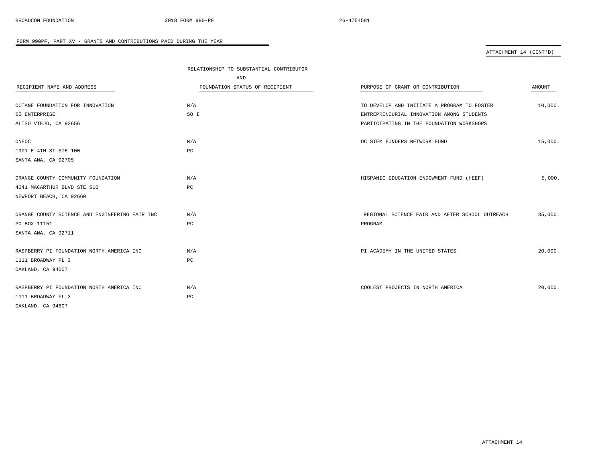## ATTACHMENT 14 (CONT'D)

|                                                | RELATIONSHIP TO SUBSTANTIAL CONTRIBUTOR |                                                 |         |
|------------------------------------------------|-----------------------------------------|-------------------------------------------------|---------|
|                                                | AND                                     |                                                 |         |
| RECIPIENT NAME AND ADDRESS                     | FOUNDATION STATUS OF RECIPIENT          | PURPOSE OF GRANT OR CONTRIBUTION                | AMOUNT  |
|                                                |                                         |                                                 |         |
| OCTANE FOUNDATION FOR INNOVATION               | N/A                                     | TO DEVELOP AND INITIATE A PROGRAM TO FOSTER     | 10,000. |
| 65 ENTERPRISE                                  | SO I                                    | ENTREPRENEURIAL INNOVATION AMONG STUDENTS       |         |
| ALISO VIEJO, CA 92656                          |                                         | PARTICIPATING IN THE FOUNDATION WORKSHOPS       |         |
|                                                |                                         |                                                 |         |
| ONEOC                                          | N/A                                     | OC STEM FUNDERS NETWORK FUND                    | 15,000. |
| 1901 E 4TH ST STE 100                          | PC                                      |                                                 |         |
| SANTA ANA, CA 92705                            |                                         |                                                 |         |
|                                                |                                         |                                                 |         |
| ORANGE COUNTY COMMUNITY FOUNDATION             | N/A                                     | HISPANIC EDUCATION ENDOWMENT FUND (HEEF)        | 5,000.  |
| 4041 MACARTHUR BLVD STE 510                    | РC                                      |                                                 |         |
| NEWPORT BEACH, CA 92660                        |                                         |                                                 |         |
|                                                |                                         |                                                 |         |
| ORANGE COUNTY SCIENCE AND ENGINEERING FAIR INC | N/A                                     | REGIONAL SCIENCE FAIR AND AFTER SCHOOL OUTREACH | 35,000. |
| PO BOX 11151                                   | PC                                      | PROGRAM                                         |         |
| SANTA ANA, CA 92711                            |                                         |                                                 |         |
|                                                |                                         |                                                 |         |
| RASPBERRY PI FOUNDATION NORTH AMERICA INC      | N/A                                     | PI ACADEMY IN THE UNITED STATES                 | 20,000. |
| 1111 BROADWAY FL 3                             | $_{\rm PC}$                             |                                                 |         |
| OAKLAND, CA 94607                              |                                         |                                                 |         |
|                                                |                                         |                                                 |         |
| RASPBERRY PI FOUNDATION NORTH AMERICA INC      | N/A                                     | COOLEST PROJECTS IN NORTH AMERICA               | 20,000. |
| 1111 BROADWAY FL 3                             | $_{\rm PC}$                             |                                                 |         |
| OAKLAND, CA 94607                              |                                         |                                                 |         |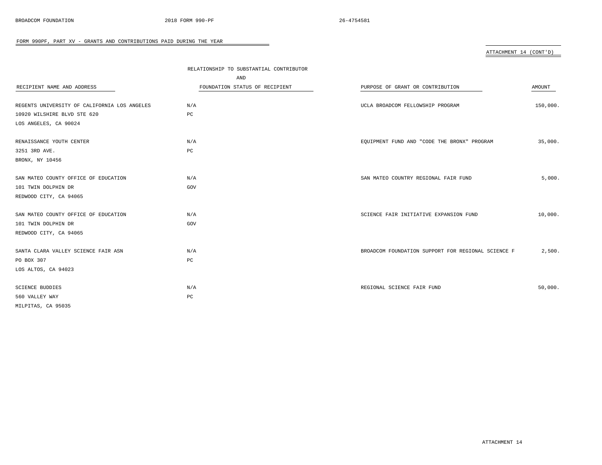ATTACHMENT 14 (CONT'D)

|                                              | RELATIONSHIP TO SUBSTANTIAL CONTRIBUTOR |                                                    |          |
|----------------------------------------------|-----------------------------------------|----------------------------------------------------|----------|
|                                              | AND                                     |                                                    |          |
| RECIPIENT NAME AND ADDRESS                   | FOUNDATION STATUS OF RECIPIENT          | PURPOSE OF GRANT OR CONTRIBUTION                   | AMOUNT   |
|                                              |                                         |                                                    |          |
| REGENTS UNIVERSITY OF CALIFORNIA LOS ANGELES | N/A                                     | UCLA BROADCOM FELLOWSHIP PROGRAM                   | 150,000. |
| 10920 WILSHIRE BLVD STE 620                  | PC                                      |                                                    |          |
| LOS ANGELES, CA 90024                        |                                         |                                                    |          |
| RENAISSANCE YOUTH CENTER                     | N/A                                     | EQUIPMENT FUND AND "CODE THE BRONX" PROGRAM        | 35,000.  |
| 3251 3RD AVE.                                | $_{\rm PC}$                             |                                                    |          |
| BRONX, NY 10456                              |                                         |                                                    |          |
| SAN MATEO COUNTY OFFICE OF EDUCATION         | N/A                                     | SAN MATEO COUNTRY REGIONAL FAIR FUND               | 5,000.   |
| 101 TWIN DOLPHIN DR                          | GOV                                     |                                                    |          |
| REDWOOD CITY, CA 94065                       |                                         |                                                    |          |
|                                              |                                         |                                                    |          |
| SAN MATEO COUNTY OFFICE OF EDUCATION         | N/A                                     | SCIENCE FAIR INITIATIVE EXPANSION FUND             | 10,000.  |
| 101 TWIN DOLPHIN DR                          | GOV                                     |                                                    |          |
| REDWOOD CITY, CA 94065                       |                                         |                                                    |          |
| SANTA CLARA VALLEY SCIENCE FAIR ASN          | N/A                                     | BROADCOM FOUNDATION SUPPORT FOR REGIONAL SCIENCE F | 2,500.   |
| PO BOX 307                                   | $_{\rm PC}$                             |                                                    |          |
| LOS ALTOS, CA 94023                          |                                         |                                                    |          |
|                                              |                                         |                                                    |          |
| <b>SCIENCE BUDDIES</b>                       | N/A                                     | REGIONAL SCIENCE FAIR FUND                         | 50,000.  |
| 560 VALLEY WAY                               | $_{\rm PC}$                             |                                                    |          |
| MILPITAS, CA 95035                           |                                         |                                                    |          |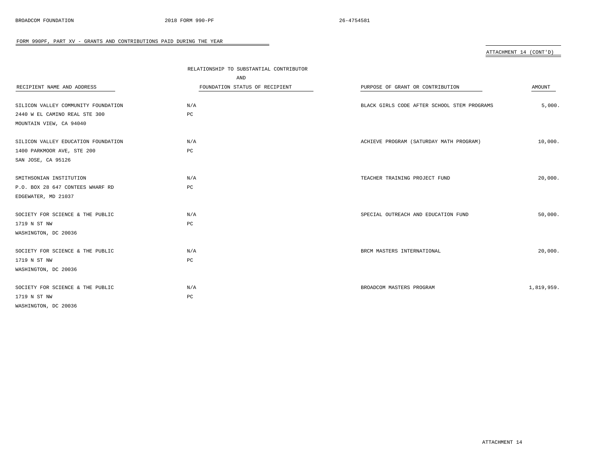## ATTACHMENT 14 (CONT'D)

|                                     | RELATIONSHIP TO SUBSTANTIAL CONTRIBUTOR |                                             |            |
|-------------------------------------|-----------------------------------------|---------------------------------------------|------------|
|                                     | AND                                     |                                             |            |
| RECIPIENT NAME AND ADDRESS          | FOUNDATION STATUS OF RECIPIENT          | PURPOSE OF GRANT OR CONTRIBUTION            | AMOUNT     |
|                                     |                                         |                                             |            |
| SILICON VALLEY COMMUNITY FOUNDATION | N/A                                     | BLACK GIRLS CODE AFTER SCHOOL STEM PROGRAMS | 5,000.     |
| 2440 W EL CAMINO REAL STE 300       | PC                                      |                                             |            |
| MOUNTAIN VIEW, CA 94040             |                                         |                                             |            |
| SILICON VALLEY EDUCATION FOUNDATION | N/A                                     | ACHIEVE PROGRAM (SATURDAY MATH PROGRAM)     | 10,000.    |
| 1400 PARKMOOR AVE, STE 200          | PC                                      |                                             |            |
| SAN JOSE, CA 95126                  |                                         |                                             |            |
| SMITHSONIAN INSTITUTION             | N/A                                     | TEACHER TRAINING PROJECT FUND               | 20,000.    |
| P.O. BOX 28 647 CONTEES WHARF RD    | PC                                      |                                             |            |
| EDGEWATER, MD 21037                 |                                         |                                             |            |
| SOCIETY FOR SCIENCE & THE PUBLIC    | N/A                                     | SPECIAL OUTREACH AND EDUCATION FUND         | 50,000.    |
| 1719 N ST NW                        | PC                                      |                                             |            |
| WASHINGTON, DC 20036                |                                         |                                             |            |
| SOCIETY FOR SCIENCE & THE PUBLIC    | N/A                                     | BRCM MASTERS INTERNATIONAL                  | 20,000.    |
| 1719 N ST NW                        | $_{\rm PC}$                             |                                             |            |
| WASHINGTON, DC 20036                |                                         |                                             |            |
| SOCIETY FOR SCIENCE & THE PUBLIC    | N/A                                     | BROADCOM MASTERS PROGRAM                    | 1,819,959. |
| 1719 N ST NW                        | PC                                      |                                             |            |
| WASHINGTON, DC 20036                |                                         |                                             |            |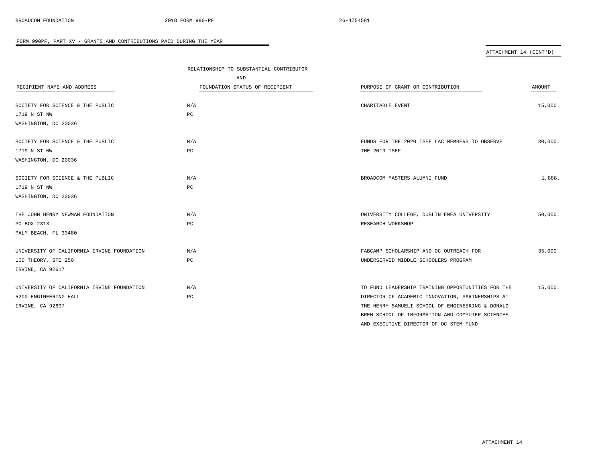ATTACHMENT 14 (CONT'D)

|                                            | RELATIONSHIP TO SUBSTANTIAL CONTRIBUTOR |                                                   |         |
|--------------------------------------------|-----------------------------------------|---------------------------------------------------|---------|
|                                            | AND                                     |                                                   |         |
| RECIPIENT NAME AND ADDRESS                 | FOUNDATION STATUS OF RECIPIENT          | PURPOSE OF GRANT OR CONTRIBUTION                  | AMOUNT  |
|                                            |                                         |                                                   |         |
| SOCIETY FOR SCIENCE & THE PUBLIC           | N/A                                     | CHARITABLE EVENT                                  | 15,000. |
| 1719 N ST NW                               | $_{\rm PC}$                             |                                                   |         |
| WASHINGTON, DC 20036                       |                                         |                                                   |         |
| SOCIETY FOR SCIENCE & THE PUBLIC           | N/A                                     | FUNDS FOR THE 2020 ISEF LAC MEMBERS TO OBSERVE    | 30,000. |
| 1719 N ST NW                               | PC                                      | THE 2019 ISEF                                     |         |
| WASHINGTON, DC 20036                       |                                         |                                                   |         |
|                                            |                                         |                                                   | 1,888.  |
| SOCIETY FOR SCIENCE & THE PUBLIC           | N/A                                     | BROADCOM MASTERS ALUMNI FUND                      |         |
| 1719 N ST NW                               | PC                                      |                                                   |         |
| WASHINGTON, DC 20036                       |                                         |                                                   |         |
| THE JOHN HENRY NEWMAN FOUNDATION           | N/A                                     | UNIVERSITY COLLEGE, DUBLIN EMEA UNIVERSITY        | 50,000. |
| PO BOX 2313                                | PC                                      | RESEARCH WORKSHOP                                 |         |
| PALM BEACH, FL 33480                       |                                         |                                                   |         |
| UNIVERSITY OF CALIFORNIA IRVINE FOUNDATION | N/A                                     | FABCAMP SCHOLARSHIP AND OC OUTREACH FOR           | 35,000. |
| 100 THEORY, STE 250                        | PC                                      | UNDERSERVED MIDDLE SCHOOLERS PROGRAM              |         |
| IRVINE, CA 92617                           |                                         |                                                   |         |
| UNIVERSITY OF CALIFORNIA IRVINE FOUNDATION | N/A                                     | TO FUND LEADERSHIP TRAINING OPPORTUNITIES FOR THE | 15,000. |
| 5200 ENGINEERING HALL                      | PC                                      | DIRECTOR OF ACADEMIC INNOVATION, PARTNERSHIPS AT  |         |
| IRVINE, CA 92697                           |                                         | THE HENRY SAMUELI SCHOOL OF ENGINEERING & DONALD  |         |
|                                            |                                         | BREN SCHOOL OF INFORMATION AND COMPUTER SCIENCES  |         |
|                                            |                                         | AND EXECUTIVE DIRECTOR OF OC STEM FUND            |         |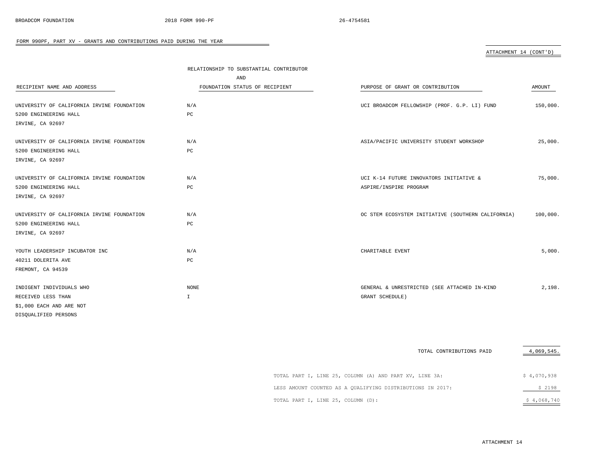| ATTACHMENT 14 (CONT'D) |  |
|------------------------|--|
|                        |  |
|                        |  |

|                                            | RELATIONSHIP TO SUBSTANTIAL CONTRIBUTOR |                                                    |          |
|--------------------------------------------|-----------------------------------------|----------------------------------------------------|----------|
|                                            | AND                                     |                                                    |          |
| RECIPIENT NAME AND ADDRESS                 | FOUNDATION STATUS OF RECIPIENT          | PURPOSE OF GRANT OR CONTRIBUTION                   | AMOUNT   |
|                                            |                                         |                                                    |          |
| UNIVERSITY OF CALIFORNIA IRVINE FOUNDATION | N/A                                     | UCI BROADCOM FELLOWSHIP (PROF. G.P. LI) FUND       | 150,000. |
| 5200 ENGINEERING HALL                      | PC                                      |                                                    |          |
| IRVINE, CA 92697                           |                                         |                                                    |          |
| UNIVERSITY OF CALIFORNIA IRVINE FOUNDATION | N/A                                     | ASIA/PACIFIC UNIVERSITY STUDENT WORKSHOP           | 25,000.  |
| 5200 ENGINEERING HALL                      | PC                                      |                                                    |          |
| IRVINE, CA 92697                           |                                         |                                                    |          |
| UNIVERSITY OF CALIFORNIA IRVINE FOUNDATION | N/A                                     | UCI K-14 FUTURE INNOVATORS INITIATIVE &            | 75,000.  |
| 5200 ENGINEERING HALL                      | PC                                      | ASPIRE/INSPIRE PROGRAM                             |          |
| IRVINE, CA 92697                           |                                         |                                                    |          |
|                                            |                                         |                                                    |          |
| UNIVERSITY OF CALIFORNIA IRVINE FOUNDATION | N/A                                     | OC STEM ECOSYSTEM INITIATIVE (SOUTHERN CALIFORNIA) | 100,000. |
| 5200 ENGINEERING HALL                      | PC                                      |                                                    |          |
| IRVINE, CA 92697                           |                                         |                                                    |          |
| YOUTH LEADERSHIP INCUBATOR INC             | N/A                                     | CHARITABLE EVENT                                   | 5,000.   |
| 40211 DOLERITA AVE                         | PC                                      |                                                    |          |
| FREMONT, CA 94539                          |                                         |                                                    |          |
|                                            |                                         |                                                    |          |
| INDIGENT INDIVIDUALS WHO                   | <b>NONE</b>                             | GENERAL & UNRESTRICTED (SEE ATTACHED IN-KIND       | 2,198.   |
| RECEIVED LESS THAN                         | $\mathbb{I}$                            | GRANT SCHEDULE)                                    |          |
| \$1,000 EACH AND ARE NOT                   |                                         |                                                    |          |
| DISQUALIFIED PERSONS                       |                                         |                                                    |          |

 $=$ 

|                                                            | TOTAL CONTRIBUTIONS PAID | 4,069,545.  |
|------------------------------------------------------------|--------------------------|-------------|
|                                                            |                          |             |
| TOTAL PART I, LINE 25, COLUMN (A) AND PART XV, LINE 3A:    |                          | \$4,070,938 |
| LESS AMOUNT COUNTED AS A QUALIFYING DISTRIBUTIONS IN 2017: |                          | \$2198      |
| TOTAL PART I, LINE 25, COLUMN (D):                         |                          | \$4,068,740 |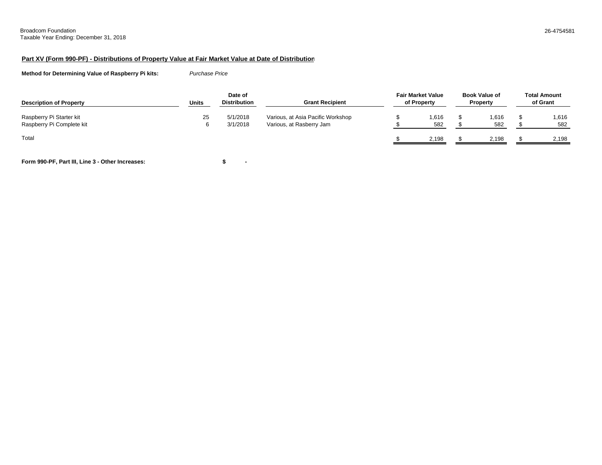## **Part XV (Form 990-PF) - Distributions of Property Value at Fair Market Value at Date of Distribution**

**Method for Determining Value of Raspberry Pi kits:** *Purchase Price*

| <b>Description of Property</b>                        | Units | Date of<br><b>Distribution</b> | <b>Grant Recipient</b>                                        | <b>Fair Market Value</b><br>of Property | <b>Book Value of</b><br><b>Property</b> | <b>Total Amount</b><br>of Grant |
|-------------------------------------------------------|-------|--------------------------------|---------------------------------------------------------------|-----------------------------------------|-----------------------------------------|---------------------------------|
| Raspberry Pi Starter kit<br>Raspberry Pi Complete kit | 25    | 5/1/2018<br>3/1/2018           | Various, at Asia Pacific Workshop<br>Various, at Rasberry Jam | 1,616<br>582                            | 1,616<br>582                            | 1,616<br>582                    |
| Total                                                 |       |                                |                                                               | 2.198                                   | 2.198                                   | 2.198                           |

**Form 990-PF, Part III, Line 3 - Other Increases: - \$**